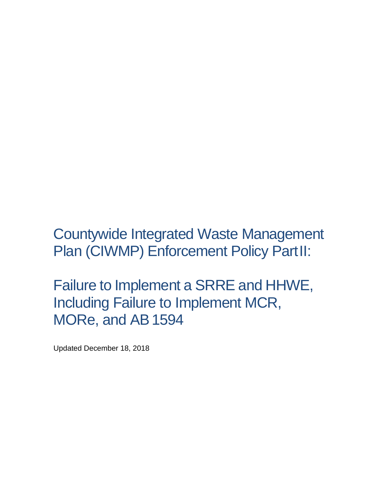Countywide Integrated Waste Management Plan (CIWMP) Enforcement Policy PartII:

Failure to Implement a SRRE and HHWE, Including Failure to Implement MCR, MORe, and AB1594

Updated December 18, 2018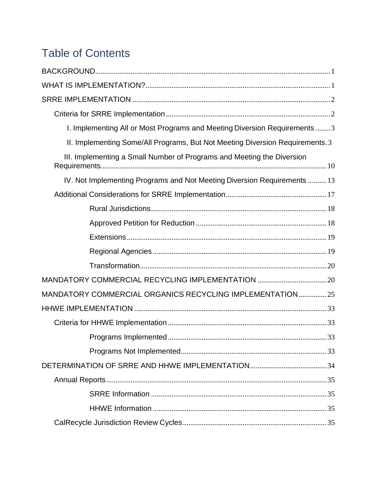# **Table of Contents**

| I. Implementing All or Most Programs and Meeting Diversion Requirements3      |  |
|-------------------------------------------------------------------------------|--|
| II. Implementing Some/All Programs, But Not Meeting Diversion Requirements. 3 |  |
| III. Implementing a Small Number of Programs and Meeting the Diversion        |  |
| IV. Not Implementing Programs and Not Meeting Diversion Requirements  13      |  |
|                                                                               |  |
|                                                                               |  |
|                                                                               |  |
|                                                                               |  |
|                                                                               |  |
|                                                                               |  |
| MANDATORY COMMERCIAL RECYCLING IMPLEMENTATION  20                             |  |
| MANDATORY COMMERCIAL ORGANICS RECYCLING IMPLEMENTATION 25                     |  |
|                                                                               |  |
|                                                                               |  |
|                                                                               |  |
|                                                                               |  |
|                                                                               |  |
|                                                                               |  |
|                                                                               |  |
|                                                                               |  |
|                                                                               |  |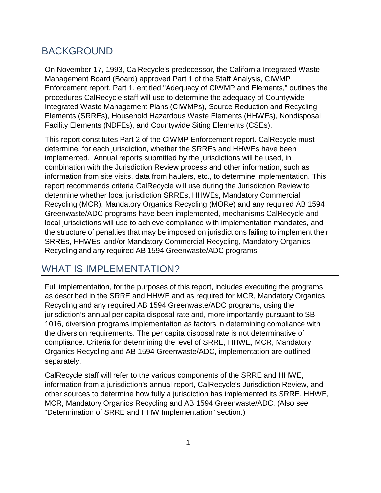# <span id="page-3-0"></span>BACKGROUND

On November 17, 1993, CalRecycle's predecessor, the California Integrated Waste Management Board (Board) approved Part 1 of the Staff Analysis, CIWMP Enforcement report. Part 1, entitled "Adequacy of CIWMP and Elements," outlines the procedures CalRecycle staff will use to determine the adequacy of Countywide Integrated Waste Management Plans (CIWMPs), Source Reduction and Recycling Elements (SRREs), Household Hazardous Waste Elements (HHWEs), Nondisposal Facility Elements (NDFEs), and Countywide Siting Elements (CSEs).

This report constitutes Part 2 of the CIWMP Enforcement report. CalRecycle must determine, for each jurisdiction, whether the SRREs and HHWEs have been implemented. Annual reports submitted by the jurisdictions will be used, in combination with the Jurisdiction Review process and other information, such as information from site visits, data from haulers, etc., to determine implementation. This report recommends criteria CalRecycle will use during the Jurisdiction Review to determine whether local jurisdiction SRREs, HHWEs, Mandatory Commercial Recycling (MCR), Mandatory Organics Recycling (MORe) and any required AB 1594 Greenwaste/ADC programs have been implemented, mechanisms CalRecycle and local jurisdictions will use to achieve compliance with implementation mandates, and the structure of penalties that may be imposed on jurisdictions failing to implement their SRREs, HHWEs, and/or Mandatory Commercial Recycling, Mandatory Organics Recycling and any required AB 1594 Greenwaste/ADC programs

# <span id="page-3-1"></span>WHAT IS IMPLEMENTATION?

Full implementation, for the purposes of this report, includes executing the programs as described in the SRRE and HHWE and as required for MCR, Mandatory Organics Recycling and any required AB 1594 Greenwaste/ADC programs, using the jurisdiction's annual per capita disposal rate and, more importantly pursuant to SB 1016, diversion programs implementation as factors in determining compliance with the diversion requirements. The per capita disposal rate is not determinative of compliance. Criteria for determining the level of SRRE, HHWE, MCR, Mandatory Organics Recycling and AB 1594 Greenwaste/ADC, implementation are outlined separately.

CalRecycle staff will refer to the various components of the SRRE and HHWE, information from a jurisdiction's annual report, CalRecycle's Jurisdiction Review, and other sources to determine how fully a jurisdiction has implemented its SRRE, HHWE, MCR, Mandatory Organics Recycling and AB 1594 Greenwaste/ADC. (Also see "Determination of SRRE and HHW Implementation" section.)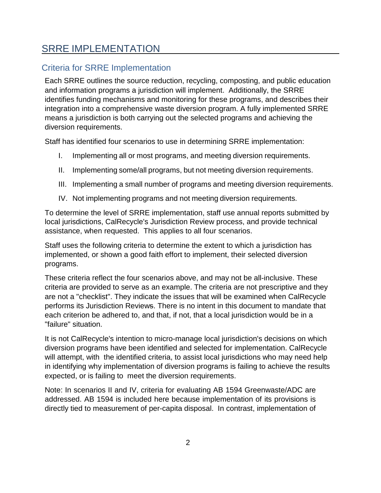# <span id="page-4-0"></span>SRRE IMPLEMENTATION

# <span id="page-4-1"></span>Criteria for SRRE Implementation

Each SRRE outlines the source reduction, recycling, composting, and public education and information programs a jurisdiction will implement. Additionally, the SRRE identifies funding mechanisms and monitoring for these programs, and describes their integration into a comprehensive waste diversion program. A fully implemented SRRE means a jurisdiction is both carrying out the selected programs and achieving the diversion requirements.

Staff has identified four scenarios to use in determining SRRE implementation:

- I. Implementing all or most programs, and meeting diversion requirements.
- II. Implementing some/all programs, but not meeting diversion requirements.
- III. Implementing a small number of programs and meeting diversion requirements.
- IV. Not implementing programs and not meeting diversion requirements.

To determine the level of SRRE implementation, staff use annual reports submitted by local jurisdictions, CalRecycle's Jurisdiction Review process, and provide technical assistance, when requested. This applies to all four scenarios.

Staff uses the following criteria to determine the extent to which a jurisdiction has implemented, or shown a good faith effort to implement, their selected diversion programs.

These criteria reflect the four scenarios above, and may not be all-inclusive. These criteria are provided to serve as an example. The criteria are not prescriptive and they are not a "checklist". They indicate the issues that will be examined when CalRecycle performs its Jurisdiction Reviews. There is no intent in this document to mandate that each criterion be adhered to, and that, if not, that a local jurisdiction would be in a "failure" situation.

It is not CalRecycle's intention to micro-manage local jurisdiction's decisions on which diversion programs have been identified and selected for implementation. CalRecycle will attempt, with the identified criteria, to assist local jurisdictions who may need help in identifying why implementation of diversion programs is failing to achieve the results expected, or is failing to meet the diversion requirements.

Note: In scenarios II and IV, criteria for evaluating AB 1594 Greenwaste/ADC are addressed. AB 1594 is included here because implementation of its provisions is directly tied to measurement of per-capita disposal. In contrast, implementation of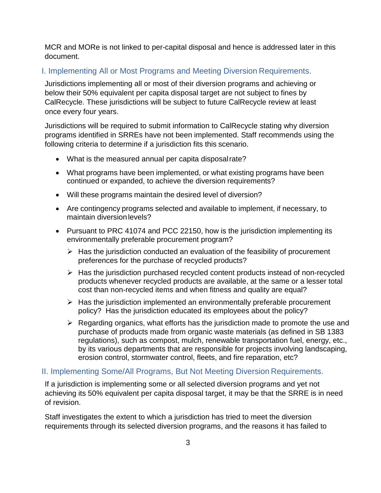MCR and MORe is not linked to per-capital disposal and hence is addressed later in this document.

#### <span id="page-5-0"></span>I. Implementing All or Most Programs and Meeting Diversion Requirements.

Jurisdictions implementing all or most of their diversion programs and achieving or below their 50% equivalent per capita disposal target are not subject to fines by CalRecycle. These jurisdictions will be subject to future CalRecycle review at least once every four years.

Jurisdictions will be required to submit information to CalRecycle stating why diversion programs identified in SRREs have not been implemented. Staff recommends using the following criteria to determine if a jurisdiction fits this scenario.

- What is the measured annual per capita disposalrate?
- What programs have been implemented, or what existing programs have been continued or expanded, to achieve the diversion requirements?
- Will these programs maintain the desired level of diversion?
- Are contingency programs selected and available to implement, if necessary, to maintain diversion levels?
- Pursuant to PRC 41074 and PCC 22150, how is the jurisdiction implementing its environmentally preferable procurement program?
	- $\triangleright$  Has the jurisdiction conducted an evaluation of the feasibility of procurement preferences for the purchase of recycled products?
	- $\triangleright$  Has the jurisdiction purchased recycled content products instead of non-recycled products whenever recycled products are available, at the same or a lesser total cost than non-recycled items and when fitness and quality are equal?
	- $\triangleright$  Has the jurisdiction implemented an environmentally preferable procurement policy? Has the jurisdiction educated its employees about the policy?
	- $\triangleright$  Regarding organics, what efforts has the jurisdiction made to promote the use and purchase of products made from organic waste materials (as defined in SB 1383 regulations), such as compost, mulch, renewable transportation fuel, energy, etc., by its various departments that are responsible for projects involving landscaping, erosion control, stormwater control, fleets, and fire reparation, etc?

#### <span id="page-5-1"></span>II. Implementing Some/All Programs, But Not Meeting Diversion Requirements.

If a jurisdiction is implementing some or all selected diversion programs and yet not achieving its 50% equivalent per capita disposal target, it may be that the SRRE is in need of revision.

Staff investigates the extent to which a jurisdiction has tried to meet the diversion requirements through its selected diversion programs, and the reasons it has failed to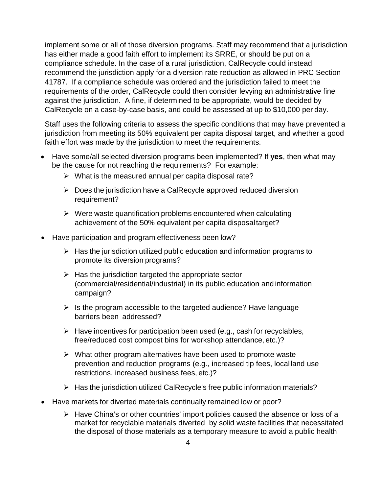implement some or all of those diversion programs. Staff may recommend that a jurisdiction has either made a good faith effort to implement its SRRE, or should be put on a compliance schedule. In the case of a rural jurisdiction, CalRecycle could instead recommend the jurisdiction apply for a diversion rate reduction as allowed in PRC Section 41787. If a compliance schedule was ordered and the jurisdiction failed to meet the requirements of the order, CalRecycle could then consider levying an administrative fine against the jurisdiction. A fine, if determined to be appropriate, would be decided by CalRecycle on a case-by-case basis, and could be assessed at up to \$10,000 per day.

Staff uses the following criteria to assess the specific conditions that may have prevented a jurisdiction from meeting its 50% equivalent per capita disposal target, and whether a good faith effort was made by the jurisdiction to meet the requirements.

- Have some/all selected diversion programs been implemented? If **yes**, then what may be the cause for not reaching the requirements? For example:
	- $\triangleright$  What is the measured annual per capita disposal rate?
	- $\triangleright$  Does the jurisdiction have a CalRecycle approved reduced diversion requirement?
	- $\triangleright$  Were waste quantification problems encountered when calculating achievement of the 50% equivalent per capita disposaltarget?
- Have participation and program effectiveness been low?
	- $\triangleright$  Has the jurisdiction utilized public education and information programs to promote its diversion programs?
	- $\triangleright$  Has the jurisdiction targeted the appropriate sector (commercial/residential/industrial) in its public education and information campaign?
	- $\triangleright$  Is the program accessible to the targeted audience? Have language barriers been addressed?
	- $\triangleright$  Have incentives for participation been used (e.g., cash for recyclables, free/reduced cost compost bins for workshop attendance, etc.)?
	- $\triangleright$  What other program alternatives have been used to promote waste prevention and reduction programs (e.g., increased tip fees, local land use restrictions, increased business fees, etc.)?
	- $\triangleright$  Has the jurisdiction utilized CalRecycle's free public information materials?
- Have markets for diverted materials continually remained low or poor?
	- $\triangleright$  Have China's or other countries' import policies caused the absence or loss of a market for recyclable materials diverted by solid waste facilities that necessitated the disposal of those materials as a temporary measure to avoid a public health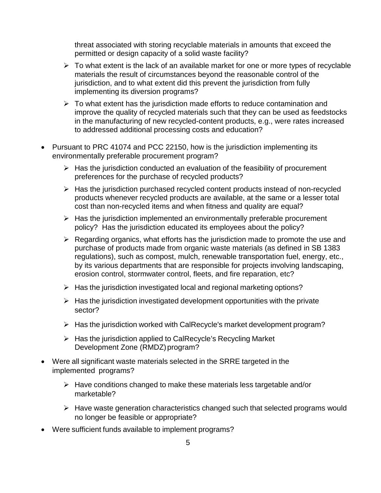threat associated with storing recyclable materials in amounts that exceed the permitted or design capacity of a solid waste facility?

- $\triangleright$  To what extent is the lack of an available market for one or more types of recyclable materials the result of circumstances beyond the reasonable control of the jurisdiction, and to what extent did this prevent the jurisdiction from fully implementing its diversion programs?
- $\triangleright$  To what extent has the jurisdiction made efforts to reduce contamination and improve the quality of recycled materials such that they can be used as feedstocks in the manufacturing of new recycled-content products, e.g., were rates increased to addressed additional processing costs and education?
- Pursuant to PRC 41074 and PCC 22150, how is the jurisdiction implementing its environmentally preferable procurement program?
	- $\triangleright$  Has the jurisdiction conducted an evaluation of the feasibility of procurement preferences for the purchase of recycled products?
	- $\triangleright$  Has the jurisdiction purchased recycled content products instead of non-recycled products whenever recycled products are available, at the same or a lesser total cost than non-recycled items and when fitness and quality are equal?
	- $\triangleright$  Has the jurisdiction implemented an environmentally preferable procurement policy? Has the jurisdiction educated its employees about the policy?
	- $\triangleright$  Regarding organics, what efforts has the jurisdiction made to promote the use and purchase of products made from organic waste materials (as defined in SB 1383 regulations), such as compost, mulch, renewable transportation fuel, energy, etc., by its various departments that are responsible for projects involving landscaping, erosion control, stormwater control, fleets, and fire reparation, etc?
	- $\triangleright$  Has the jurisdiction investigated local and regional marketing options?
	- $\triangleright$  Has the jurisdiction investigated development opportunities with the private sector?
	- $\triangleright$  Has the jurisdiction worked with CalRecycle's market development program?
	- $\triangleright$  Has the jurisdiction applied to CalRecycle's Recycling Market Development Zone (RMDZ) program?
- Were all significant waste materials selected in the SRRE targeted in the implemented programs?
	- $\triangleright$  Have conditions changed to make these materials less targetable and/or marketable?
	- $\triangleright$  Have waste generation characteristics changed such that selected programs would no longer be feasible or appropriate?
- Were sufficient funds available to implement programs?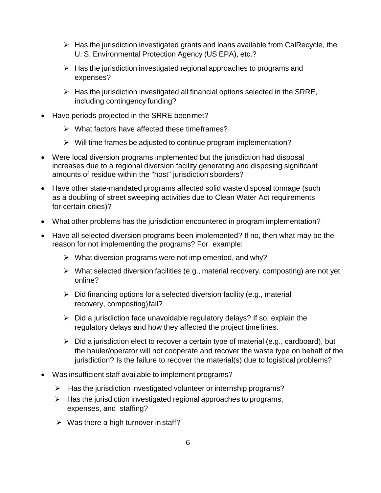- $\triangleright$  Has the jurisdiction investigated grants and loans available from CalRecycle, the U. S. Environmental Protection Agency (US EPA), etc.?
- $\triangleright$  Has the jurisdiction investigated regional approaches to programs and expenses?
- $\triangleright$  Has the jurisdiction investigated all financial options selected in the SRRE, including contingency funding?
- Have periods projected in the SRRE beenmet?
	- $\triangleright$  What factors have affected these time frames?
	- $\triangleright$  Will time frames be adjusted to continue program implementation?
- Were local diversion programs implemented but the jurisdiction had disposal increases due to a regional diversion facility generating and disposing significant amounts of residue within the "host" jurisdiction'sborders?
- Have other state-mandated programs affected solid waste disposal tonnage (such as a doubling of street sweeping activities due to Clean Water Act requirements for certain cities)?
- What other problems has the jurisdiction encountered in program implementation?
- Have all selected diversion programs been implemented? If no, then what may be the reason for not implementing the programs? For example:
	- $\triangleright$  What diversion programs were not implemented, and why?
	- $\triangleright$  What selected diversion facilities (e.g., material recovery, composting) are not yet online?
	- $\triangleright$  Did financing options for a selected diversion facility (e.g., material recovery, composting) fail?
	- $\triangleright$  Did a jurisdiction face unavoidable regulatory delays? If so, explain the regulatory delays and how they affected the project time lines.
	- $\triangleright$  Did a jurisdiction elect to recover a certain type of material (e.g., cardboard), but the hauler/operator will not cooperate and recover the waste type on behalf of the jurisdiction? Is the failure to recover the material(s) due to logistical problems?
- Was insufficient staff available to implement programs?
	- $\triangleright$  Has the jurisdiction investigated volunteer or internship programs?
	- $\triangleright$  Has the jurisdiction investigated regional approaches to programs, expenses, and staffing?
	- $\triangleright$  Was there a high turnover in staff?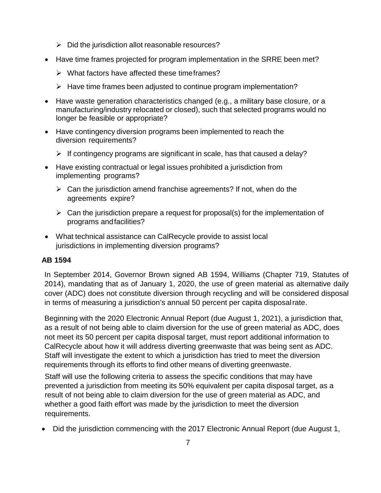- $\triangleright$  Did the jurisdiction allot reasonable resources?
- Have time frames projected for program implementation in the SRRE been met?
	- $\triangleright$  What factors have affected these time frames?
	- $\triangleright$  Have time frames been adjusted to continue program implementation?
- Have waste generation characteristics changed (e.g., a military base closure, or a manufacturing/industry relocated or closed), such that selected programs would no longer be feasible or appropriate?
- Have contingency diversion programs been implemented to reach the diversion requirements?
	- $\triangleright$  If contingency programs are significant in scale, has that caused a delay?
- Have existing contractual or legal issues prohibited a jurisdiction from implementing programs?
	- $\triangleright$  Can the jurisdiction amend franchise agreements? If not, when do the agreements expire?
	- $\triangleright$  Can the jurisdiction prepare a request for proposal(s) for the implementation of programs andfacilities?
- What technical assistance can CalRecycle provide to assist local jurisdictions in implementing diversion programs?

#### **AB 1594**

In September 2014, Governor Brown signed AB 1594, Williams (Chapter 719, Statutes of 2014), mandating that as of January 1, 2020, the use of green material as alternative daily cover (ADC) does not constitute diversion through recycling and will be considered disposal in terms of measuring a jurisdiction's annual 50 percent per capita disposalrate.

Beginning with the 2020 Electronic Annual Report (due August 1, 2021), a jurisdiction that, as a result of not being able to claim diversion for the use of green material as ADC, does not meet its 50 percent per capita disposal target, must report additional information to CalRecycle about how it will address diverting greenwaste that was being sent as ADC. Staff will investigate the extent to which a jurisdiction has tried to meet the diversion requirements through its efforts to find other means of diverting greenwaste.

Staff will use the following criteria to assess the specific conditions that may have prevented a jurisdiction from meeting its 50% equivalent per capita disposal target, as a result of not being able to claim diversion for the use of green material as ADC, and whether a good faith effort was made by the jurisdiction to meet the diversion requirements.

• Did the jurisdiction commencing with the 2017 Electronic Annual Report (due August 1,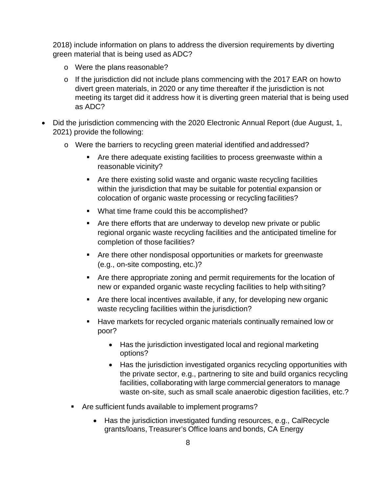2018) include information on plans to address the diversion requirements by diverting green material that is being used as ADC?

- o Were the plans reasonable?
- o If the jurisdiction did not include plans commencing with the 2017 EAR on howto divert green materials, in 2020 or any time thereafter if the jurisdiction is not meeting its target did it address how it is diverting green material that is being used as ADC?
- Did the jurisdiction commencing with the 2020 Electronic Annual Report (due August, 1, 2021) provide the following:
	- o Were the barriers to recycling green material identified and addressed?
		- Are there adequate existing facilities to process greenwaste within a reasonable vicinity?
		- Are there existing solid waste and organic waste recycling facilities within the jurisdiction that may be suitable for potential expansion or colocation of organic waste processing or recycling facilities?
		- What time frame could this be accomplished?
		- Are there efforts that are underway to develop new private or public regional organic waste recycling facilities and the anticipated timeline for completion of those facilities?
		- Are there other nondisposal opportunities or markets for greenwaste (e.g., on-site composting, etc.)?
		- Are there appropriate zoning and permit requirements for the location of new or expanded organic waste recycling facilities to help withsiting?
		- Are there local incentives available, if any, for developing new organic waste recycling facilities within the jurisdiction?
		- Have markets for recycled organic materials continually remained low or poor?
			- Has the jurisdiction investigated local and regional marketing options?
			- Has the jurisdiction investigated organics recycling opportunities with the private sector, e.g., partnering to site and build organics recycling facilities, collaborating with large commercial generators to manage waste on-site, such as small scale anaerobic digestion facilities, etc.?
		- Are sufficient funds available to implement programs?
			- Has the jurisdiction investigated funding resources, e.g., CalRecycle grants/loans, Treasurer's Office loans and bonds, CA Energy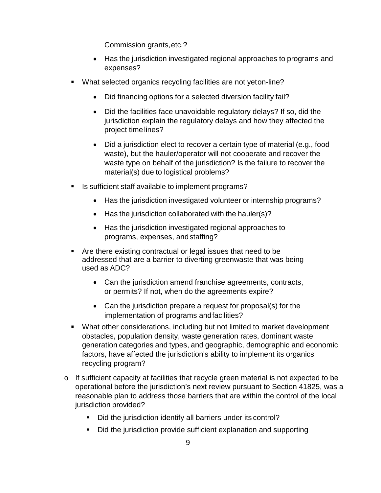Commission grants,etc.?

- Has the jurisdiction investigated regional approaches to programs and expenses?
- What selected organics recycling facilities are not yeton-line?
	- Did financing options for a selected diversion facility fail?
	- Did the facilities face unavoidable regulatory delays? If so, did the jurisdiction explain the regulatory delays and how they affected the project timelines?
	- Did a jurisdiction elect to recover a certain type of material (e.g., food waste), but the hauler/operator will not cooperate and recover the waste type on behalf of the jurisdiction? Is the failure to recover the material(s) due to logistical problems?
- Is sufficient staff available to implement programs?
	- Has the jurisdiction investigated volunteer or internship programs?
	- Has the jurisdiction collaborated with the hauler(s)?
	- Has the jurisdiction investigated regional approaches to programs, expenses, andstaffing?
- Are there existing contractual or legal issues that need to be addressed that are a barrier to diverting greenwaste that was being used as ADC?
	- Can the jurisdiction amend franchise agreements, contracts, or permits? If not, when do the agreements expire?
	- Can the jurisdiction prepare a request for proposal(s) for the implementation of programs andfacilities?
- What other considerations, including but not limited to market development obstacles, population density, waste generation rates, dominant waste generation categories and types, and geographic, demographic and economic factors, have affected the jurisdiction's ability to implement its organics recycling program?
- $\circ$  If sufficient capacity at facilities that recycle green material is not expected to be operational before the jurisdiction's next review pursuant to Section 41825, was a reasonable plan to address those barriers that are within the control of the local jurisdiction provided?
	- Did the jurisdiction identify all barriers under its control?
	- Did the jurisdiction provide sufficient explanation and supporting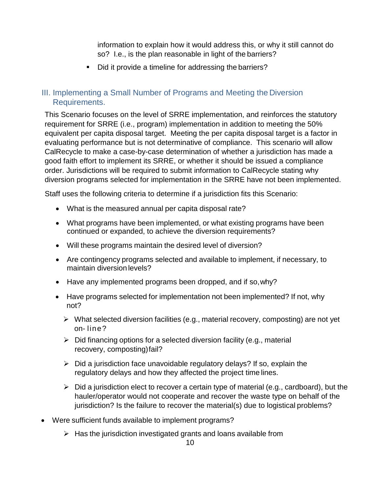information to explain how it would address this, or why it still cannot do so? I.e., is the plan reasonable in light of the barriers?

Did it provide a timeline for addressing the barriers?

#### <span id="page-12-0"></span>III. Implementing a Small Number of Programs and Meeting the Diversion Requirements.

This Scenario focuses on the level of SRRE implementation, and reinforces the statutory requirement for SRRE (i.e., program) implementation in addition to meeting the 50% equivalent per capita disposal target. Meeting the per capita disposal target is a factor in evaluating performance but is not determinative of compliance. This scenario will allow CalRecycle to make a case-by-case determination of whether a jurisdiction has made a good faith effort to implement its SRRE, or whether it should be issued a compliance order. Jurisdictions will be required to submit information to CalRecycle stating why diversion programs selected for implementation in the SRRE have not been implemented.

Staff uses the following criteria to determine if a jurisdiction fits this Scenario:

- What is the measured annual per capita disposal rate?
- What programs have been implemented, or what existing programs have been continued or expanded, to achieve the diversion requirements?
- Will these programs maintain the desired level of diversion?
- Are contingency programs selected and available to implement, if necessary, to maintain diversion levels?
- Have any implemented programs been dropped, and if so, why?
- Have programs selected for implementation not been implemented? If not, why not?
	- $\triangleright$  What selected diversion facilities (e.g., material recovery, composting) are not yet on- line?
	- $\triangleright$  Did financing options for a selected diversion facility (e.g., material recovery, composting) fail?
	- $\triangleright$  Did a jurisdiction face unavoidable regulatory delays? If so, explain the regulatory delays and how they affected the project time lines.
	- $\triangleright$  Did a jurisdiction elect to recover a certain type of material (e.g., cardboard), but the hauler/operator would not cooperate and recover the waste type on behalf of the jurisdiction? Is the failure to recover the material(s) due to logistical problems?
- Were sufficient funds available to implement programs?
	- $\triangleright$  Has the jurisdiction investigated grants and loans available from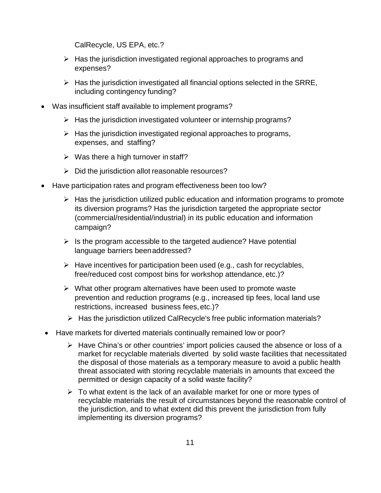CalRecycle, US EPA, etc.?

- $\triangleright$  Has the jurisdiction investigated regional approaches to programs and expenses?
- $\triangleright$  Has the jurisdiction investigated all financial options selected in the SRRE, including contingency funding?
- Was insufficient staff available to implement programs?
	- $\triangleright$  Has the jurisdiction investigated volunteer or internship programs?
	- $\triangleright$  Has the jurisdiction investigated regional approaches to programs, expenses, and staffing?
	- $\triangleright$  Was there a high turnover in staff?
	- $\triangleright$  Did the jurisdiction allot reasonable resources?
- Have participation rates and program effectiveness been too low?
	- $\triangleright$  Has the jurisdiction utilized public education and information programs to promote its diversion programs? Has the jurisdiction targeted the appropriate sector (commercial/residential/industrial) in its public education and information campaign?
	- $\triangleright$  Is the program accessible to the targeted audience? Have potential language barriers beenaddressed?
	- $\triangleright$  Have incentives for participation been used (e.g., cash for recyclables, free/reduced cost compost bins for workshop attendance, etc.)?
	- $\triangleright$  What other program alternatives have been used to promote waste prevention and reduction programs (e.g., increased tip fees, local land use restrictions, increased business fees,etc.)?
	- $\triangleright$  Has the jurisdiction utilized CalRecycle's free public information materials?
- Have markets for diverted materials continually remained low or poor?
	- $\triangleright$  Have China's or other countries' import policies caused the absence or loss of a market for recyclable materials diverted by solid waste facilities that necessitated the disposal of those materials as a temporary measure to avoid a public health threat associated with storing recyclable materials in amounts that exceed the permitted or design capacity of a solid waste facility?
	- $\triangleright$  To what extent is the lack of an available market for one or more types of recyclable materials the result of circumstances beyond the reasonable control of the jurisdiction, and to what extent did this prevent the jurisdiction from fully implementing its diversion programs?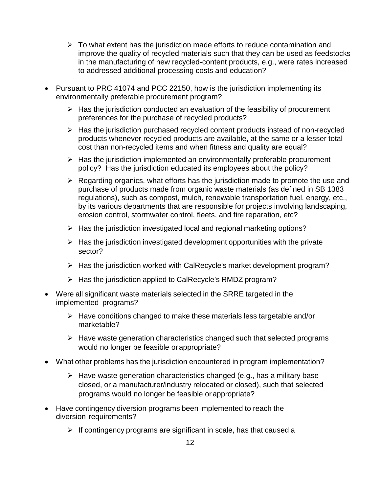- $\triangleright$  To what extent has the jurisdiction made efforts to reduce contamination and improve the quality of recycled materials such that they can be used as feedstocks in the manufacturing of new recycled-content products, e.g., were rates increased to addressed additional processing costs and education?
- Pursuant to PRC 41074 and PCC 22150, how is the jurisdiction implementing its environmentally preferable procurement program?
	- $\triangleright$  Has the jurisdiction conducted an evaluation of the feasibility of procurement preferences for the purchase of recycled products?
	- $\triangleright$  Has the jurisdiction purchased recycled content products instead of non-recycled products whenever recycled products are available, at the same or a lesser total cost than non-recycled items and when fitness and quality are equal?
	- $\triangleright$  Has the jurisdiction implemented an environmentally preferable procurement policy? Has the jurisdiction educated its employees about the policy?
	- $\triangleright$  Regarding organics, what efforts has the jurisdiction made to promote the use and purchase of products made from organic waste materials (as defined in SB 1383 regulations), such as compost, mulch, renewable transportation fuel, energy, etc., by its various departments that are responsible for projects involving landscaping, erosion control, stormwater control, fleets, and fire reparation, etc?
	- $\triangleright$  Has the jurisdiction investigated local and regional marketing options?
	- $\triangleright$  Has the jurisdiction investigated development opportunities with the private sector?
	- $\triangleright$  Has the jurisdiction worked with CalRecycle's market development program?
	- $\triangleright$  Has the jurisdiction applied to CalRecycle's RMDZ program?
- Were all significant waste materials selected in the SRRE targeted in the implemented programs?
	- $\triangleright$  Have conditions changed to make these materials less targetable and/or marketable?
	- $\triangleright$  Have waste generation characteristics changed such that selected programs would no longer be feasible orappropriate?
- What other problems has the jurisdiction encountered in program implementation?
	- $\triangleright$  Have waste generation characteristics changed (e.g., has a military base closed, or a manufacturer/industry relocated or closed), such that selected programs would no longer be feasible or appropriate?
- Have contingency diversion programs been implemented to reach the diversion requirements?
	- $\triangleright$  If contingency programs are significant in scale, has that caused a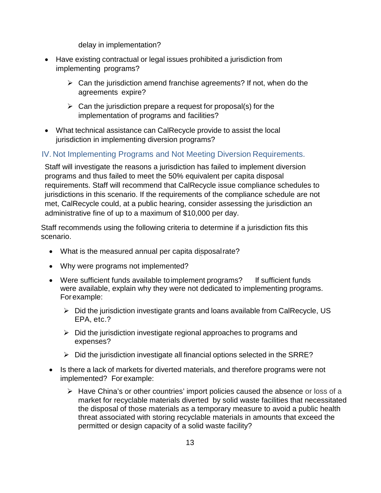delay in implementation?

- Have existing contractual or legal issues prohibited a jurisdiction from implementing programs?
	- $\triangleright$  Can the jurisdiction amend franchise agreements? If not, when do the agreements expire?
	- $\triangleright$  Can the jurisdiction prepare a request for proposal(s) for the implementation of programs and facilities?
- What technical assistance can CalRecycle provide to assist the local jurisdiction in implementing diversion programs?

#### <span id="page-15-0"></span>IV. Not Implementing Programs and Not Meeting Diversion Requirements.

Staff will investigate the reasons a jurisdiction has failed to implement diversion programs and thus failed to meet the 50% equivalent per capita disposal requirements. Staff will recommend that CalRecycle issue compliance schedules to jurisdictions in this scenario. If the requirements of the compliance schedule are not met, CalRecycle could, at a public hearing, consider assessing the jurisdiction an administrative fine of up to a maximum of \$10,000 per day.

Staff recommends using the following criteria to determine if a jurisdiction fits this scenario.

- What is the measured annual per capita disposal rate?
- Why were programs not implemented?
- Were sufficient funds available to implement programs? If sufficient funds were available, explain why they were not dedicated to implementing programs. Forexample:
	- $\triangleright$  Did the jurisdiction investigate grants and loans available from CalRecycle, US EPA, etc.?
	- $\triangleright$  Did the jurisdiction investigate regional approaches to programs and expenses?
	- $\triangleright$  Did the jurisdiction investigate all financial options selected in the SRRE?
- Is there a lack of markets for diverted materials, and therefore programs were not implemented? Forexample:
	- $\triangleright$  Have China's or other countries' import policies caused the absence or loss of a market for recyclable materials diverted by solid waste facilities that necessitated the disposal of those materials as a temporary measure to avoid a public health threat associated with storing recyclable materials in amounts that exceed the permitted or design capacity of a solid waste facility?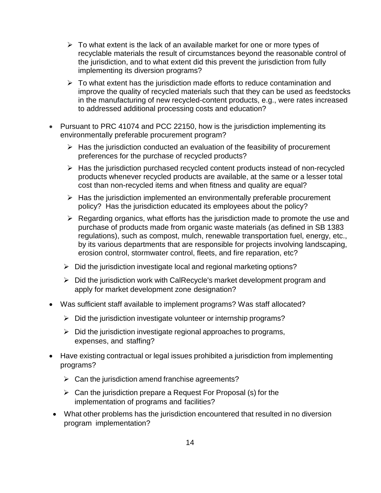- $\triangleright$  To what extent is the lack of an available market for one or more types of recyclable materials the result of circumstances beyond the reasonable control of the jurisdiction, and to what extent did this prevent the jurisdiction from fully implementing its diversion programs?
- $\triangleright$  To what extent has the jurisdiction made efforts to reduce contamination and improve the quality of recycled materials such that they can be used as feedstocks in the manufacturing of new recycled-content products, e.g., were rates increased to addressed additional processing costs and education?
- Pursuant to PRC 41074 and PCC 22150, how is the jurisdiction implementing its environmentally preferable procurement program?
	- $\triangleright$  Has the jurisdiction conducted an evaluation of the feasibility of procurement preferences for the purchase of recycled products?
	- $\triangleright$  Has the jurisdiction purchased recycled content products instead of non-recycled products whenever recycled products are available, at the same or a lesser total cost than non-recycled items and when fitness and quality are equal?
	- $\triangleright$  Has the jurisdiction implemented an environmentally preferable procurement policy? Has the jurisdiction educated its employees about the policy?
	- $\triangleright$  Regarding organics, what efforts has the jurisdiction made to promote the use and purchase of products made from organic waste materials (as defined in SB 1383 regulations), such as compost, mulch, renewable transportation fuel, energy, etc., by its various departments that are responsible for projects involving landscaping, erosion control, stormwater control, fleets, and fire reparation, etc?
	- $\triangleright$  Did the jurisdiction investigate local and regional marketing options?
	- $\triangleright$  Did the jurisdiction work with CalRecycle's market development program and apply for market development zone designation?
- Was sufficient staff available to implement programs? Was staff allocated?
	- $\triangleright$  Did the jurisdiction investigate volunteer or internship programs?
	- $\triangleright$  Did the jurisdiction investigate regional approaches to programs, expenses, and staffing?
- Have existing contractual or legal issues prohibited a jurisdiction from implementing programs?
	- $\triangleright$  Can the jurisdiction amend franchise agreements?
	- $\triangleright$  Can the jurisdiction prepare a Request For Proposal (s) for the implementation of programs and facilities?
- What other problems has the jurisdiction encountered that resulted in no diversion program implementation?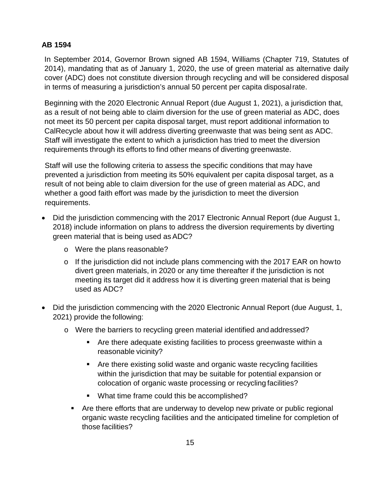#### **AB 1594**

In September 2014, Governor Brown signed AB 1594, Williams (Chapter 719, Statutes of 2014), mandating that as of January 1, 2020, the use of green material as alternative daily cover (ADC) does not constitute diversion through recycling and will be considered disposal in terms of measuring a jurisdiction's annual 50 percent per capita disposalrate.

Beginning with the 2020 Electronic Annual Report (due August 1, 2021), a jurisdiction that, as a result of not being able to claim diversion for the use of green material as ADC, does not meet its 50 percent per capita disposal target, must report additional information to CalRecycle about how it will address diverting greenwaste that was being sent as ADC. Staff will investigate the extent to which a jurisdiction has tried to meet the diversion requirements through its efforts to find other means of diverting greenwaste.

Staff will use the following criteria to assess the specific conditions that may have prevented a jurisdiction from meeting its 50% equivalent per capita disposal target, as a result of not being able to claim diversion for the use of green material as ADC, and whether a good faith effort was made by the jurisdiction to meet the diversion requirements.

- Did the jurisdiction commencing with the 2017 Electronic Annual Report (due August 1, 2018) include information on plans to address the diversion requirements by diverting green material that is being used as ADC?
	- o Were the plans reasonable?
	- o If the jurisdiction did not include plans commencing with the 2017 EAR on howto divert green materials, in 2020 or any time thereafter if the jurisdiction is not meeting its target did it address how it is diverting green material that is being used as ADC?
- Did the jurisdiction commencing with the 2020 Electronic Annual Report (due August, 1, 2021) provide the following:
	- o Were the barriers to recycling green material identified and addressed?
		- Are there adequate existing facilities to process greenwaste within a reasonable vicinity?
		- Are there existing solid waste and organic waste recycling facilities within the jurisdiction that may be suitable for potential expansion or colocation of organic waste processing or recycling facilities?
		- What time frame could this be accomplished?
		- Are there efforts that are underway to develop new private or public regional organic waste recycling facilities and the anticipated timeline for completion of those facilities?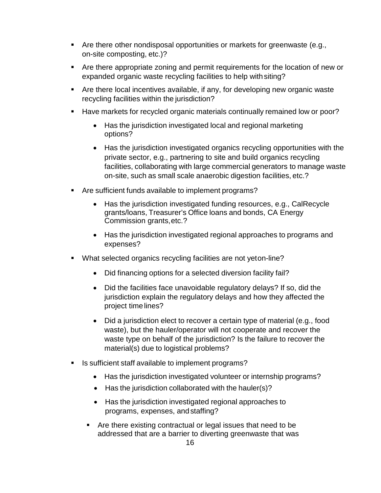- **Are there other nondisposal opportunities or markets for greenwaste (e.g.,** on-site composting, etc.)?
- Are there appropriate zoning and permit requirements for the location of new or expanded organic waste recycling facilities to help withsiting?
- Are there local incentives available, if any, for developing new organic waste recycling facilities within the jurisdiction?
- Have markets for recycled organic materials continually remained low or poor?
	- Has the jurisdiction investigated local and regional marketing options?
	- Has the jurisdiction investigated organics recycling opportunities with the private sector, e.g., partnering to site and build organics recycling facilities, collaborating with large commercial generators to manage waste on-site, such as small scale anaerobic digestion facilities, etc.?
- Are sufficient funds available to implement programs?
	- Has the jurisdiction investigated funding resources, e.g., CalRecycle grants/loans, Treasurer's Office loans and bonds, CA Energy Commission grants,etc.?
	- Has the jurisdiction investigated regional approaches to programs and expenses?
- What selected organics recycling facilities are not yeton-line?
	- Did financing options for a selected diversion facility fail?
	- Did the facilities face unavoidable regulatory delays? If so, did the jurisdiction explain the regulatory delays and how they affected the project timelines?
	- Did a jurisdiction elect to recover a certain type of material (e.g., food waste), but the hauler/operator will not cooperate and recover the waste type on behalf of the jurisdiction? Is the failure to recover the material(s) due to logistical problems?
- Is sufficient staff available to implement programs?
	- Has the jurisdiction investigated volunteer or internship programs?
	- Has the jurisdiction collaborated with the hauler(s)?
	- Has the jurisdiction investigated regional approaches to programs, expenses, andstaffing?
	- Are there existing contractual or legal issues that need to be addressed that are a barrier to diverting greenwaste that was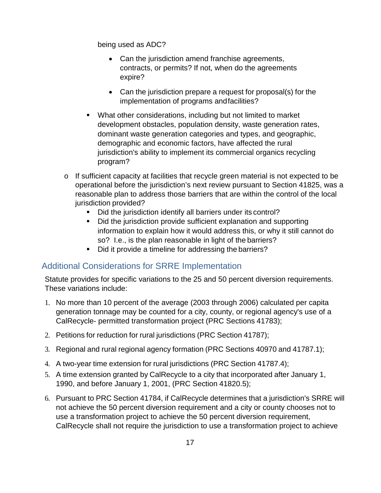being used as ADC?

- Can the jurisdiction amend franchise agreements, contracts, or permits? If not, when do the agreements expire?
- Can the jurisdiction prepare a request for proposal(s) for the implementation of programs andfacilities?
- What other considerations, including but not limited to market development obstacles, population density, waste generation rates, dominant waste generation categories and types, and geographic, demographic and economic factors, have affected the rural jurisdiction's ability to implement its commercial organics recycling program?
- $\circ$  If sufficient capacity at facilities that recycle green material is not expected to be operational before the jurisdiction's next review pursuant to Section 41825, was a reasonable plan to address those barriers that are within the control of the local jurisdiction provided?
	- Did the jurisdiction identify all barriers under its control?
	- Did the jurisdiction provide sufficient explanation and supporting information to explain how it would address this, or why it still cannot do so? I.e., is the plan reasonable in light of the barriers?
	- Did it provide a timeline for addressing the barriers?

### <span id="page-19-0"></span>Additional Considerations for SRRE Implementation

Statute provides for specific variations to the 25 and 50 percent diversion requirements. These variations include:

- 1. No more than 10 percent of the average (2003 through 2006) calculated per capita generation tonnage may be counted for a city, county, or regional agency's use of a CalRecycle- permitted transformation project (PRC Sections 41783);
- 2. Petitions for reduction for rural jurisdictions (PRC Section 41787);
- 3. Regional and rural regional agency formation (PRC Sections 40970 and 41787.1);
- 4. A two-year time extension for rural jurisdictions (PRC Section 41787.4);
- 5. A time extension granted by CalRecycle to a city that incorporated after January 1, 1990, and before January 1, 2001, (PRC Section 41820.5);
- 6. Pursuant to PRC Section 41784, if CalRecycle determines that a jurisdiction's SRRE will not achieve the 50 percent diversion requirement and a city or county chooses not to use a transformation project to achieve the 50 percent diversion requirement, CalRecycle shall not require the jurisdiction to use a transformation project to achieve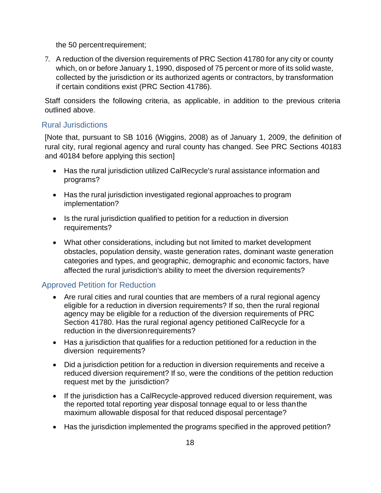the 50 percentrequirement;

7. A reduction of the diversion requirements of PRC Section 41780 for any city or county which, on or before January 1, 1990, disposed of 75 percent or more of its solid waste, collected by the jurisdiction or its authorized agents or contractors, by transformation if certain conditions exist (PRC Section 41786).

Staff considers the following criteria, as applicable, in addition to the previous criteria outlined above.

#### <span id="page-20-0"></span>Rural Jurisdictions

[Note that, pursuant to SB 1016 (Wiggins, 2008) as of January 1, 2009, the definition of rural city, rural regional agency and rural county has changed. See PRC Sections 40183 and 40184 before applying this section]

- Has the rural jurisdiction utilized CalRecycle's rural assistance information and programs?
- Has the rural jurisdiction investigated regional approaches to program implementation?
- Is the rural jurisdiction qualified to petition for a reduction in diversion requirements?
- What other considerations, including but not limited to market development obstacles, population density, waste generation rates, dominant waste generation categories and types, and geographic, demographic and economic factors, have affected the rural jurisdiction's ability to meet the diversion requirements?

### <span id="page-20-1"></span>Approved Petition for Reduction

- Are rural cities and rural counties that are members of a rural regional agency eligible for a reduction in diversion requirements? If so, then the rural regional agency may be eligible for a reduction of the diversion requirements of PRC Section 41780. Has the rural regional agency petitioned CalRecycle for a reduction in the diversionrequirements?
- Has a jurisdiction that qualifies for a reduction petitioned for a reduction in the diversion requirements?
- Did a jurisdiction petition for a reduction in diversion requirements and receive a reduced diversion requirement? If so, were the conditions of the petition reduction request met by the jurisdiction?
- If the jurisdiction has a CalRecycle-approved reduced diversion requirement, was the reported total reporting year disposal tonnage equal to or less thanthe maximum allowable disposal for that reduced disposal percentage?
- Has the jurisdiction implemented the programs specified in the approved petition?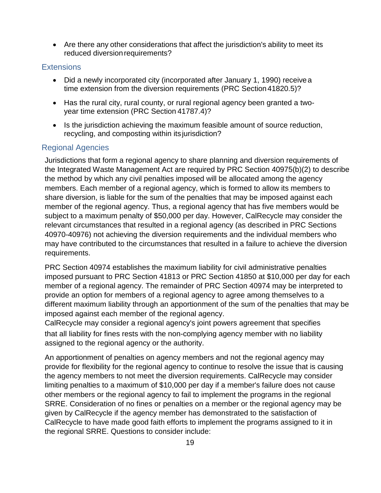• Are there any other considerations that affect the jurisdiction's ability to meet its reduced diversion requirements?

#### <span id="page-21-0"></span>**Extensions**

- Did a newly incorporated city (incorporated after January 1, 1990) receive a time extension from the diversion requirements (PRC Section 41820.5)?
- Has the rural city, rural county, or rural regional agency been granted a twoyear time extension (PRC Section 41787.4)?
- Is the jurisdiction achieving the maximum feasible amount of source reduction, recycling, and composting within its jurisdiction?

#### <span id="page-21-1"></span>Regional Agencies

Jurisdictions that form a regional agency to share planning and diversion requirements of the Integrated Waste Management Act are required by PRC Section 40975(b)(2) to describe the method by which any civil penalties imposed will be allocated among the agency members. Each member of a regional agency, which is formed to allow its members to share diversion, is liable for the sum of the penalties that may be imposed against each member of the regional agency. Thus, a regional agency that has five members would be subject to a maximum penalty of \$50,000 per day. However, CalRecycle may consider the relevant circumstances that resulted in a regional agency (as described in PRC Sections 40970-40976) not achieving the diversion requirements and the individual members who may have contributed to the circumstances that resulted in a failure to achieve the diversion requirements.

PRC Section 40974 establishes the maximum liability for civil administrative penalties imposed pursuant to PRC Section 41813 or PRC Section 41850 at \$10,000 per day for each member of a regional agency. The remainder of PRC Section 40974 may be interpreted to provide an option for members of a regional agency to agree among themselves to a different maximum liability through an apportionment of the sum of the penalties that may be imposed against each member of the regional agency.

CalRecycle may consider a regional agency's joint powers agreement that specifies that all liability for fines rests with the non-complying agency member with no liability assigned to the regional agency or the authority.

An apportionment of penalties on agency members and not the regional agency may provide for flexibility for the regional agency to continue to resolve the issue that is causing the agency members to not meet the diversion requirements. CalRecycle may consider limiting penalties to a maximum of \$10,000 per day if a member's failure does not cause other members or the regional agency to fail to implement the programs in the regional SRRE. Consideration of no fines or penalties on a member or the regional agency may be given by CalRecycle if the agency member has demonstrated to the satisfaction of CalRecycle to have made good faith efforts to implement the programs assigned to it in the regional SRRE. Questions to consider include: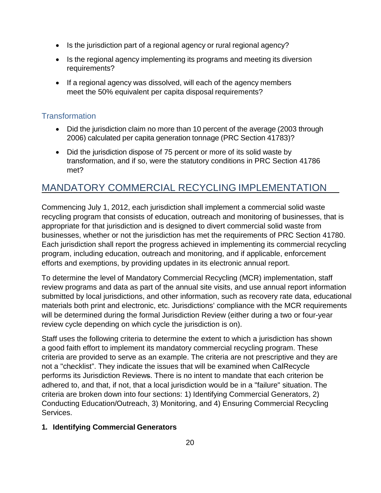- Is the jurisdiction part of a regional agency or rural regional agency?
- Is the regional agency implementing its programs and meeting its diversion requirements?
- If a regional agency was dissolved, will each of the agency members meet the 50% equivalent per capita disposal requirements?

#### <span id="page-22-0"></span>**Transformation**

- Did the jurisdiction claim no more than 10 percent of the average (2003 through 2006) calculated per capita generation tonnage (PRC Section 41783)?
- Did the jurisdiction dispose of 75 percent or more of its solid waste by transformation, and if so, were the statutory conditions in PRC Section 41786 met?

# <span id="page-22-1"></span>MANDATORY COMMERCIAL RECYCLING IMPLEMENTATION

Commencing July 1, 2012, each jurisdiction shall implement a commercial solid waste recycling program that consists of education, outreach and monitoring of businesses, that is appropriate for that jurisdiction and is designed to divert commercial solid waste from businesses, whether or not the jurisdiction has met the requirements of PRC Section 41780. Each jurisdiction shall report the progress achieved in implementing its commercial recycling program, including education, outreach and monitoring, and if applicable, enforcement efforts and exemptions, by providing updates in its electronic annual report.

To determine the level of Mandatory Commercial Recycling (MCR) implementation, staff review programs and data as part of the annual site visits, and use annual report information submitted by local jurisdictions, and other information, such as recovery rate data, educational materials both print and electronic, etc. Jurisdictions' compliance with the MCR requirements will be determined during the formal Jurisdiction Review (either during a two or four-year review cycle depending on which cycle the jurisdiction is on).

Staff uses the following criteria to determine the extent to which a jurisdiction has shown a good faith effort to implement its mandatory commercial recycling program. These criteria are provided to serve as an example. The criteria are not prescriptive and they are not a "checklist". They indicate the issues that will be examined when CalRecycle performs its Jurisdiction Reviews. There is no intent to mandate that each criterion be adhered to, and that, if not, that a local jurisdiction would be in a "failure" situation. The criteria are broken down into four sections: 1) Identifying Commercial Generators, 2) Conducting Education/Outreach, 3) Monitoring, and 4) Ensuring Commercial Recycling Services.

#### **1. Identifying Commercial Generators**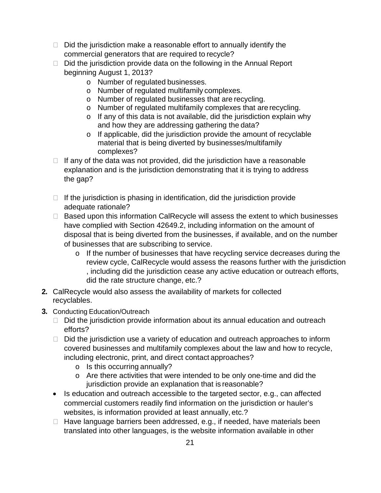- $\Box$  Did the jurisdiction make a reasonable effort to annually identify the commercial generators that are required to recycle?
- $\Box$  Did the jurisdiction provide data on the following in the Annual Report beginning August 1, 2013?
	- o Number of regulated businesses.
	- o Number of regulated multifamily complexes.
	- o Number of regulated businesses that are recycling.
	- o Number of regulated multifamily complexes that are recycling.
	- o If any of this data is not available, did the jurisdiction explain why and how they are addressing gathering the data?
	- o If applicable, did the jurisdiction provide the amount of recyclable material that is being diverted by businesses/multifamily complexes?
- $\Box$  If any of the data was not provided, did the jurisdiction have a reasonable explanation and is the jurisdiction demonstrating that it is trying to address the gap?
- $\Box$  If the jurisdiction is phasing in identification, did the jurisdiction provide adequate rationale?
- $\Box$  Based upon this information CalRecycle will assess the extent to which businesses have complied with Section 42649.2, including information on the amount of disposal that is being diverted from the businesses, if available, and on the number of businesses that are subscribing to service.
	- o If the number of businesses that have recycling service decreases during the review cycle, CalRecycle would assess the reasons further with the jurisdiction , including did the jurisdiction cease any active education or outreach efforts, did the rate structure change, etc.?
- **2.** CalRecycle would also assess the availability of markets for collected recyclables.
- **3.** Conducting Education/Outreach
	- $\Box$  Did the jurisdiction provide information about its annual education and outreach efforts?
	- $\Box$  Did the jurisdiction use a variety of education and outreach approaches to inform covered businesses and multifamily complexes about the law and how to recycle, including electronic, print, and direct contact approaches?
		- o Is this occurring annually?
		- o Are there activities that were intended to be only one-time and did the jurisdiction provide an explanation that is reasonable?
	- Is education and outreach accessible to the targeted sector, e.g., can affected commercial customers readily find information on the jurisdiction or hauler's websites, is information provided at least annually, etc.?
	- $\Box$  Have language barriers been addressed, e.g., if needed, have materials been translated into other languages, is the website information available in other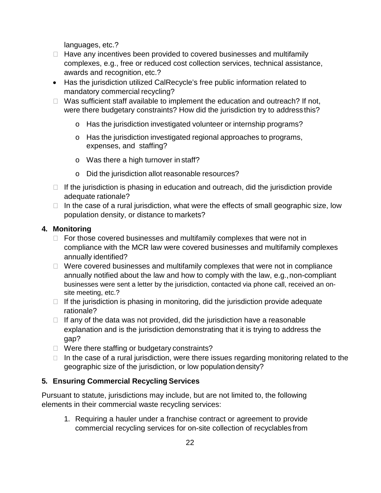languages, etc.?

- $\Box$  Have any incentives been provided to covered businesses and multifamily complexes, e.g., free or reduced cost collection services, technical assistance, awards and recognition, etc.?
- Has the jurisdiction utilized CalRecycle's free public information related to mandatory commercial recycling?
- $\Box$  Was sufficient staff available to implement the education and outreach? If not, were there budgetary constraints? How did the jurisdiction try to address this?
	- o Has the jurisdiction investigated volunteer or internship programs?
	- o Has the jurisdiction investigated regional approaches to programs, expenses, and staffing?
	- o Was there a high turnover in staff?
	- o Did the jurisdiction allot reasonable resources?
- $\Box$  If the jurisdiction is phasing in education and outreach, did the jurisdiction provide adequate rationale?
- $\Box$  In the case of a rural jurisdiction, what were the effects of small geographic size, low population density, or distance to markets?

#### **4. Monitoring**

- $\Box$  For those covered businesses and multifamily complexes that were not in compliance with the MCR law were covered businesses and multifamily complexes annually identified?
- $\Box$  Were covered businesses and multifamily complexes that were not in compliance annually notified about the law and how to comply with the law, e.g.,non-compliant businesses were sent a letter by the jurisdiction, contacted via phone call, received an onsite meeting, etc.?
- $\Box$  If the jurisdiction is phasing in monitoring, did the jurisdiction provide adequate rationale?
- $\Box$  If any of the data was not provided, did the jurisdiction have a reasonable explanation and is the jurisdiction demonstrating that it is trying to address the gap?
- $\Box$  Were there staffing or budgetary constraints?
- $\Box$  In the case of a rural jurisdiction, were there issues regarding monitoring related to the geographic size of the jurisdiction, or low populationdensity?

#### **5. Ensuring Commercial Recycling Services**

Pursuant to statute, jurisdictions may include, but are not limited to, the following elements in their commercial waste recycling services:

1. Requiring a hauler under a franchise contract or agreement to provide commercial recycling services for on-site collection of recyclables from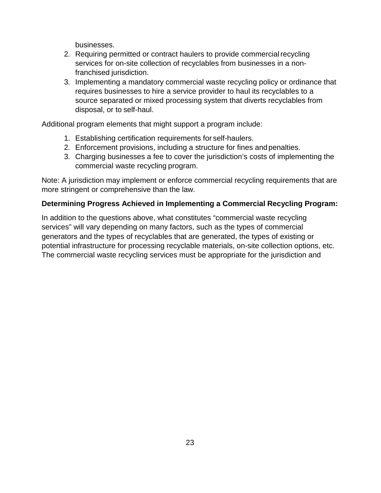businesses.

- 2. Requiring permitted or contract haulers to provide commercial recycling services for on-site collection of recyclables from businesses in a nonfranchised jurisdiction.
- 3. Implementing a mandatory commercial waste recycling policy or ordinance that requires businesses to hire a service provider to haul its recyclables to a source separated or mixed processing system that diverts recyclables from disposal, or to self-haul.

Additional program elements that might support a program include:

- 1. Establishing certification requirements for self-haulers.
- 2. Enforcement provisions, including a structure for fines andpenalties.
- 3. Charging businesses a fee to cover the jurisdiction's costs of implementing the commercial waste recycling program.

Note: A jurisdiction may implement or enforce commercial recycling requirements that are more stringent or comprehensive than the law.

#### **Determining Progress Achieved in Implementing a Commercial Recycling Program:**

In addition to the questions above, what constitutes "commercial waste recycling services" will vary depending on many factors, such as the types of commercial generators and the types of recyclables that are generated, the types of existing or potential infrastructure for processing recyclable materials, on-site collection options, etc. The commercial waste recycling services must be appropriate for the jurisdiction and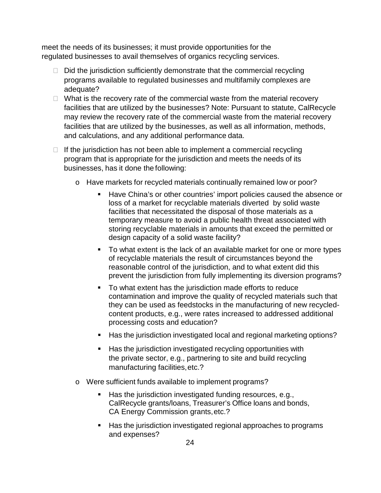meet the needs of its businesses; it must provide opportunities for the regulated businesses to avail themselves of organics recycling services.

- $\Box$  Did the jurisdiction sufficiently demonstrate that the commercial recycling programs available to regulated businesses and multifamily complexes are adequate?
- $\Box$  What is the recovery rate of the commercial waste from the material recovery facilities that are utilized by the businesses? Note: Pursuant to statute, CalRecycle may review the recovery rate of the commercial waste from the material recovery facilities that are utilized by the businesses, as well as all information, methods, and calculations, and any additional performance data.
- $\Box$  If the jurisdiction has not been able to implement a commercial recycling program that is appropriate for the jurisdiction and meets the needs of its businesses, has it done the following:
	- o Have markets for recycled materials continually remained low or poor?
		- **Have China's or other countries' import policies caused the absence or** loss of a market for recyclable materials diverted by solid waste facilities that necessitated the disposal of those materials as a temporary measure to avoid a public health threat associated with storing recyclable materials in amounts that exceed the permitted or design capacity of a solid waste facility?
		- To what extent is the lack of an available market for one or more types of recyclable materials the result of circumstances beyond the reasonable control of the jurisdiction, and to what extent did this prevent the jurisdiction from fully implementing its diversion programs?
		- To what extent has the jurisdiction made efforts to reduce contamination and improve the quality of recycled materials such that they can be used as feedstocks in the manufacturing of new recycledcontent products, e.g., were rates increased to addressed additional processing costs and education?
		- Has the jurisdiction investigated local and regional marketing options?
		- **Has the jurisdiction investigated recycling opportunities with** the private sector, e.g., partnering to site and build recycling manufacturing facilities,etc.?
	- o Were sufficient funds available to implement programs?
		- Has the jurisdiction investigated funding resources, e.g., CalRecycle grants/loans, Treasurer's Office loans and bonds, CA Energy Commission grants,etc.?
		- Has the jurisdiction investigated regional approaches to programs and expenses?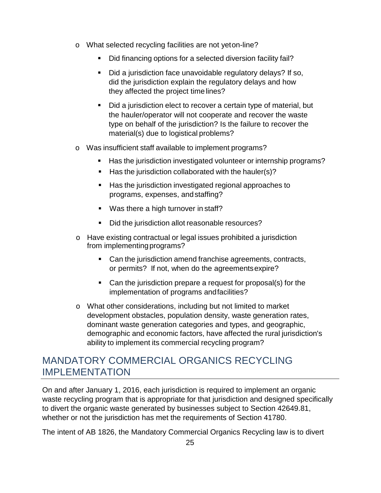- o What selected recycling facilities are not yeton-line?
	- Did financing options for a selected diversion facility fail?
	- Did a jurisdiction face unavoidable regulatory delays? If so, did the jurisdiction explain the regulatory delays and how they affected the project timelines?
	- Did a jurisdiction elect to recover a certain type of material, but the hauler/operator will not cooperate and recover the waste type on behalf of the jurisdiction? Is the failure to recover the material(s) due to logistical problems?
- o Was insufficient staff available to implement programs?
	- Has the jurisdiction investigated volunteer or internship programs?
	- $\blacksquare$  Has the jurisdiction collaborated with the hauler(s)?
	- **Has the jurisdiction investigated regional approaches to** programs, expenses, andstaffing?
	- Was there a high turnover in staff?
	- Did the jurisdiction allot reasonable resources?
- o Have existing contractual or legal issues prohibited a jurisdiction from implementingprograms?
	- Can the jurisdiction amend franchise agreements, contracts, or permits? If not, when do the agreementsexpire?
	- Can the jurisdiction prepare a request for proposal(s) for the implementation of programs andfacilities?
- o What other considerations, including but not limited to market development obstacles, population density, waste generation rates, dominant waste generation categories and types, and geographic, demographic and economic factors, have affected the rural jurisdiction's ability to implement its commercial recycling program?

# <span id="page-27-0"></span>MANDATORY COMMERCIAL ORGANICS RECYCLING IMPLEMENTATION

On and after January 1, 2016, each jurisdiction is required to implement an organic waste recycling program that is appropriate for that jurisdiction and designed specifically to divert the organic waste generated by businesses subject to Section 42649.81, whether or not the jurisdiction has met the requirements of Section 41780.

The intent of AB 1826, the Mandatory Commercial Organics Recycling law is to divert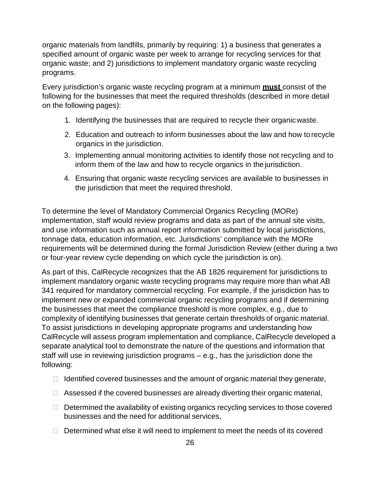organic materials from landfills, primarily by requiring: 1) a business that generates a specified amount of organic waste per week to arrange for recycling services for that organic waste; and 2) jurisdictions to implement mandatory organic waste recycling programs.

Every jurisdiction's organic waste recycling program at a minimum **must** consist of the following for the businesses that meet the required thresholds (described in more detail on the following pages):

- 1. Identifying the businesses that are required to recycle their organicwaste.
- 2. Education and outreach to inform businesses about the law and how to recycle organics in the jurisdiction.
- 3. Implementing annual monitoring activities to identify those not recycling and to inform them of the law and how to recycle organics in the jurisdiction.
- 4. Ensuring that organic waste recycling services are available to businesses in the jurisdiction that meet the required threshold.

To determine the level of Mandatory Commercial Organics Recycling (MORe) implementation, staff would review programs and data as part of the annual site visits, and use information such as annual report information submitted by local jurisdictions, tonnage data, education information, etc. Jurisdictions' compliance with the MORe requirements will be determined during the formal Jurisdiction Review (either during a two or four-year review cycle depending on which cycle the jurisdiction is on).

As part of this, CalRecycle recognizes that the AB 1826 requirement for jurisdictions to implement mandatory organic waste recycling programs may require more than what AB 341 required for mandatory commercial recycling. For example, if the jurisdiction has to implement new or expanded commercial organic recycling programs and if determining the businesses that meet the compliance threshold is more complex, e.g., due to complexity of identifying businesses that generate certain thresholds of organic material. To assist jurisdictions in developing appropriate programs and understanding how CalRecycle will assess program implementation and compliance, CalRecycle developed a separate analytical tool to demonstrate the nature of the questions and information that staff will use in reviewing jurisdiction programs – e.g., has the jurisdiction done the following:

- $\Box$  Identified covered businesses and the amount of organic material they generate,
- $\Box$  Assessed if the covered businesses are already diverting their organic material,
- $\Box$  Determined the availability of existing organics recycling services to those covered businesses and the need for additional services,
- $\Box$  Determined what else it will need to implement to meet the needs of its covered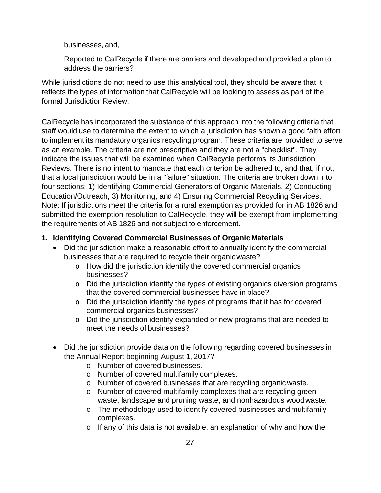businesses, and,

 $\Box$  Reported to CalRecycle if there are barriers and developed and provided a plan to address the barriers?

While jurisdictions do not need to use this analytical tool, they should be aware that it reflects the types of information that CalRecycle will be looking to assess as part of the formal Jurisdiction Review.

CalRecycle has incorporated the substance of this approach into the following criteria that staff would use to determine the extent to which a jurisdiction has shown a good faith effort to implement its mandatory organics recycling program. These criteria are provided to serve as an example. The criteria are not prescriptive and they are not a "checklist". They indicate the issues that will be examined when CalRecycle performs its Jurisdiction Reviews. There is no intent to mandate that each criterion be adhered to, and that, if not, that a local jurisdiction would be in a "failure" situation. The criteria are broken down into four sections: 1) Identifying Commercial Generators of Organic Materials, 2) Conducting Education/Outreach, 3) Monitoring, and 4) Ensuring Commercial Recycling Services. Note: If jurisdictions meet the criteria for a rural exemption as provided for in AB 1826 and submitted the exemption resolution to CalRecycle, they will be exempt from implementing the requirements of AB 1826 and not subject to enforcement.

#### **1. Identifying Covered Commercial Businesses of OrganicMaterials**

- Did the jurisdiction make a reasonable effort to annually identify the commercial businesses that are required to recycle their organic waste?
	- o How did the jurisdiction identify the covered commercial organics businesses?
	- o Did the jurisdiction identify the types of existing organics diversion programs that the covered commercial businesses have in place?
	- o Did the jurisdiction identify the types of programs that it has for covered commercial organics businesses?
	- o Did the jurisdiction identify expanded or new programs that are needed to meet the needs of businesses?
- Did the jurisdiction provide data on the following regarding covered businesses in the Annual Report beginning August 1, 2017?
	- o Number of covered businesses.
	- o Number of covered multifamily complexes.
	- o Number of covered businesses that are recycling organic waste.
	- o Number of covered multifamily complexes that are recycling green waste, landscape and pruning waste, and nonhazardous wood waste.
	- o The methodology used to identify covered businesses andmultifamily complexes.
	- o If any of this data is not available, an explanation of why and how the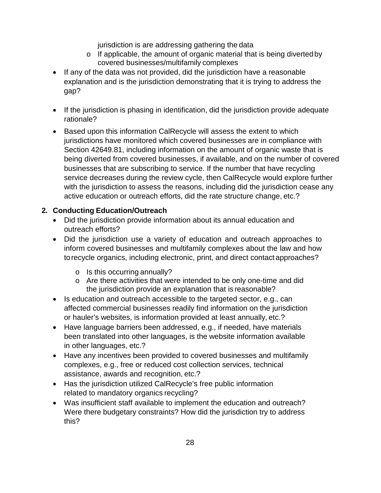jurisdiction is are addressing gathering the data

- o If applicable, the amount of organic material that is being divertedby covered businesses/multifamily complexes
- If any of the data was not provided, did the jurisdiction have a reasonable explanation and is the jurisdiction demonstrating that it is trying to address the gap?
- If the jurisdiction is phasing in identification, did the jurisdiction provide adequate rationale?
- Based upon this information CalRecycle will assess the extent to which jurisdictions have monitored which covered businesses are in compliance with Section 42649.81, including information on the amount of organic waste that is being diverted from covered businesses, if available, and on the number of covered businesses that are subscribing to service. If the number that have recycling service decreases during the review cycle, then CalRecycle would explore further with the jurisdiction to assess the reasons, including did the jurisdiction cease any active education or outreach efforts, did the rate structure change, etc.?

#### **2. Conducting Education/Outreach**

- Did the jurisdiction provide information about its annual education and outreach efforts?
- Did the jurisdiction use a variety of education and outreach approaches to inform covered businesses and multifamily complexes about the law and how torecycle organics, including electronic, print, and direct contact approaches?
	- o Is this occurring annually?
	- o Are there activities that were intended to be only one-time and did the jurisdiction provide an explanation that is reasonable?
- Is education and outreach accessible to the targeted sector, e.g., can affected commercial businesses readily find information on the jurisdiction or hauler's websites, is information provided at least annually, etc.?
- Have language barriers been addressed, e.g., if needed, have materials been translated into other languages, is the website information available in other languages, etc.?
- Have any incentives been provided to covered businesses and multifamily complexes, e.g., free or reduced cost collection services, technical assistance, awards and recognition, etc.?
- Has the jurisdiction utilized CalRecycle's free public information related to mandatory organics recycling?
- Was insufficient staff available to implement the education and outreach? Were there budgetary constraints? How did the jurisdiction try to address this?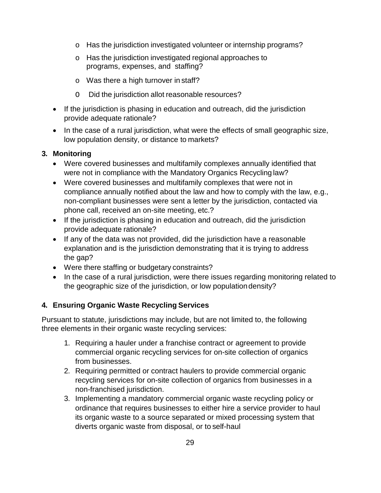- o Has the jurisdiction investigated volunteer or internship programs?
- o Has the jurisdiction investigated regional approaches to programs, expenses, and staffing?
- o Was there a high turnover in staff?
- O Did the jurisdiction allot reasonable resources?
- If the jurisdiction is phasing in education and outreach, did the jurisdiction provide adequate rationale?
- In the case of a rural jurisdiction, what were the effects of small geographic size, low population density, or distance to markets?

#### **3. Monitoring**

- Were covered businesses and multifamily complexes annually identified that were not in compliance with the Mandatory Organics Recycling law?
- Were covered businesses and multifamily complexes that were not in compliance annually notified about the law and how to comply with the law, e.g., non-compliant businesses were sent a letter by the jurisdiction, contacted via phone call, received an on-site meeting, etc.?
- If the jurisdiction is phasing in education and outreach, did the jurisdiction provide adequate rationale?
- If any of the data was not provided, did the jurisdiction have a reasonable explanation and is the jurisdiction demonstrating that it is trying to address the gap?
- Were there staffing or budgetary constraints?
- In the case of a rural jurisdiction, were there issues regarding monitoring related to the geographic size of the jurisdiction, or low populationdensity?

#### **4. Ensuring Organic Waste Recycling Services**

Pursuant to statute, jurisdictions may include, but are not limited to, the following three elements in their organic waste recycling services:

- 1. Requiring a hauler under a franchise contract or agreement to provide commercial organic recycling services for on-site collection of organics from businesses.
- 2. Requiring permitted or contract haulers to provide commercial organic recycling services for on-site collection of organics from businesses in a non-franchised jurisdiction.
- 3. Implementing a mandatory commercial organic waste recycling policy or ordinance that requires businesses to either hire a service provider to haul its organic waste to a source separated or mixed processing system that diverts organic waste from disposal, or to self-haul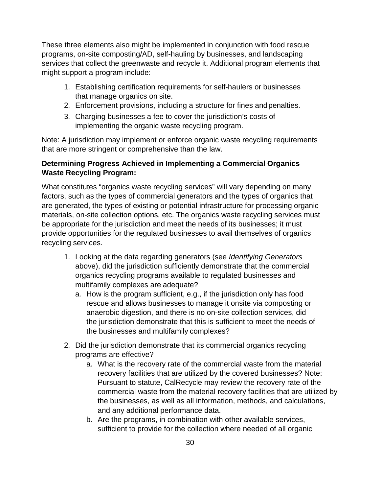These three elements also might be implemented in conjunction with food rescue programs, on-site composting/AD, self-hauling by businesses, and landscaping services that collect the greenwaste and recycle it. Additional program elements that might support a program include:

- 1. Establishing certification requirements for self-haulers or businesses that manage organics on site.
- 2. Enforcement provisions, including a structure for fines andpenalties.
- 3. Charging businesses a fee to cover the jurisdiction's costs of implementing the organic waste recycling program.

Note: A jurisdiction may implement or enforce organic waste recycling requirements that are more stringent or comprehensive than the law.

#### **Determining Progress Achieved in Implementing a Commercial Organics Waste Recycling Program:**

What constitutes "organics waste recycling services" will vary depending on many factors, such as the types of commercial generators and the types of organics that are generated, the types of existing or potential infrastructure for processing organic materials, on-site collection options, etc. The organics waste recycling services must be appropriate for the jurisdiction and meet the needs of its businesses; it must provide opportunities for the regulated businesses to avail themselves of organics recycling services.

- 1. Looking at the data regarding generators (see *Identifying Generators*  above), did the jurisdiction sufficiently demonstrate that the commercial organics recycling programs available to regulated businesses and multifamily complexes are adequate?
	- a. How is the program sufficient, e.g., if the jurisdiction only has food rescue and allows businesses to manage it onsite via composting or anaerobic digestion, and there is no on-site collection services, did the jurisdiction demonstrate that this is sufficient to meet the needs of the businesses and multifamily complexes?
- 2. Did the jurisdiction demonstrate that its commercial organics recycling programs are effective?
	- a. What is the recovery rate of the commercial waste from the material recovery facilities that are utilized by the covered businesses? Note: Pursuant to statute, CalRecycle may review the recovery rate of the commercial waste from the material recovery facilities that are utilized by the businesses, as well as all information, methods, and calculations, and any additional performance data.
	- b. Are the programs, in combination with other available services, sufficient to provide for the collection where needed of all organic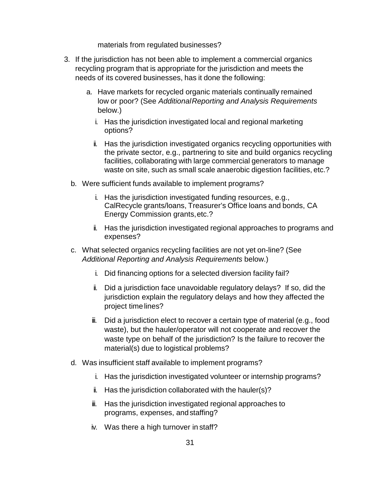materials from regulated businesses?

- 3. If the jurisdiction has not been able to implement a commercial organics recycling program that is appropriate for the jurisdiction and meets the needs of its covered businesses, has it done the following:
	- a. Have markets for recycled organic materials continually remained low or poor? (See *AdditionalReporting and Analysis Requirements*  below.)
		- i. Has the jurisdiction investigated local and regional marketing options?
		- ii. Has the jurisdiction investigated organics recycling opportunities with the private sector, e.g., partnering to site and build organics recycling facilities, collaborating with large commercial generators to manage waste on site, such as small scale anaerobic digestion facilities, etc.?
	- b. Were sufficient funds available to implement programs?
		- i. Has the jurisdiction investigated funding resources, e.g., CalRecycle grants/loans, Treasurer's Office loans and bonds, CA Energy Commission grants,etc.?
		- ii. Has the jurisdiction investigated regional approaches to programs and expenses?
	- c. What selected organics recycling facilities are not yet on-line? (See *Additional Reporting and Analysis Requirements* below.)
		- i. Did financing options for a selected diversion facility fail?
		- ii. Did a jurisdiction face unavoidable regulatory delays? If so, did the jurisdiction explain the regulatory delays and how they affected the project timelines?
		- iii. Did a jurisdiction elect to recover a certain type of material (e.g., food waste), but the hauler/operator will not cooperate and recover the waste type on behalf of the jurisdiction? Is the failure to recover the material(s) due to logistical problems?
	- d. Was insufficient staff available to implement programs?
		- i. Has the jurisdiction investigated volunteer or internship programs?
		- ii. Has the jurisdiction collaborated with the hauler(s)?
		- iii. Has the jurisdiction investigated regional approaches to programs, expenses, andstaffing?
		- iv. Was there a high turnover in staff?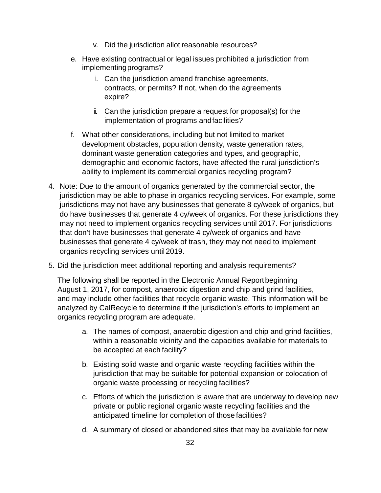- v. Did the jurisdiction allot reasonable resources?
- e. Have existing contractual or legal issues prohibited a jurisdiction from implementingprograms?
	- i. Can the jurisdiction amend franchise agreements, contracts, or permits? If not, when do the agreements expire?
	- ii. Can the jurisdiction prepare a request for proposal(s) for the implementation of programs andfacilities?
- f. What other considerations, including but not limited to market development obstacles, population density, waste generation rates, dominant waste generation categories and types, and geographic, demographic and economic factors, have affected the rural jurisdiction's ability to implement its commercial organics recycling program?
- 4. Note: Due to the amount of organics generated by the commercial sector, the jurisdiction may be able to phase in organics recycling services. For example, some jurisdictions may not have any businesses that generate 8 cy/week of organics, but do have businesses that generate 4 cy/week of organics. For these jurisdictions they may not need to implement organics recycling services until 2017. For jurisdictions that don't have businesses that generate 4 cy/week of organics and have businesses that generate 4 cy/week of trash, they may not need to implement organics recycling services until 2019.
- 5. Did the jurisdiction meet additional reporting and analysis requirements?

The following shall be reported in the Electronic Annual Reportbeginning August 1, 2017, for compost, anaerobic digestion and chip and grind facilities, and may include other facilities that recycle organic waste. This information will be analyzed by CalRecycle to determine if the jurisdiction's efforts to implement an organics recycling program are adequate.

- a. The names of compost, anaerobic digestion and chip and grind facilities, within a reasonable vicinity and the capacities available for materials to be accepted at each facility?
- b. Existing solid waste and organic waste recycling facilities within the jurisdiction that may be suitable for potential expansion or colocation of organic waste processing or recycling facilities?
- c. Efforts of which the jurisdiction is aware that are underway to develop new private or public regional organic waste recycling facilities and the anticipated timeline for completion of those facilities?
- d. A summary of closed or abandoned sites that may be available for new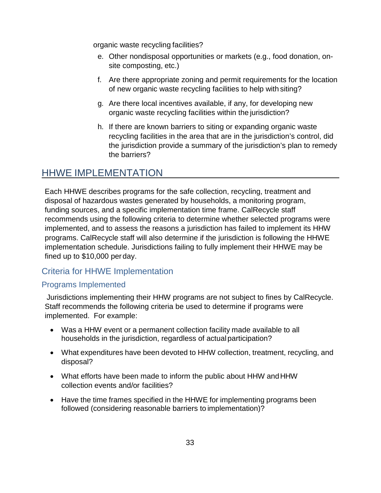organic waste recycling facilities?

- e. Other nondisposal opportunities or markets (e.g., food donation, onsite composting, etc.)
- f. Are there appropriate zoning and permit requirements for the location of new organic waste recycling facilities to help with siting?
- g. Are there local incentives available, if any, for developing new organic waste recycling facilities within the jurisdiction?
- h. If there are known barriers to siting or expanding organic waste recycling facilities in the area that are in the jurisdiction's control, did the jurisdiction provide a summary of the jurisdiction's plan to remedy the barriers?

# <span id="page-35-0"></span>HHWE IMPLEMENTATION

Each HHWE describes programs for the safe collection, recycling, treatment and disposal of hazardous wastes generated by households, a monitoring program, funding sources, and a specific implementation time frame. CalRecycle staff recommends using the following criteria to determine whether selected programs were implemented, and to assess the reasons a jurisdiction has failed to implement its HHW programs. CalRecycle staff will also determine if the jurisdiction is following the HHWE implementation schedule. Jurisdictions failing to fully implement their HHWE may be fined up to \$10,000 per day.

# <span id="page-35-1"></span>Criteria for HHWE Implementation

### <span id="page-35-2"></span>Programs Implemented

Jurisdictions implementing their HHW programs are not subject to fines by CalRecycle. Staff recommends the following criteria be used to determine if programs were implemented. For example:

- Was a HHW event or a permanent collection facility made available to all households in the jurisdiction, regardless of actual participation?
- What expenditures have been devoted to HHW collection, treatment, recycling, and disposal?
- What efforts have been made to inform the public about HHW andHHW collection events and/or facilities?
- Have the time frames specified in the HHWE for implementing programs been followed (considering reasonable barriers to implementation)?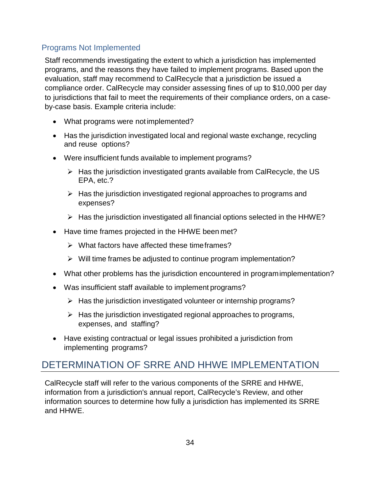### <span id="page-36-0"></span>Programs Not Implemented

Staff recommends investigating the extent to which a jurisdiction has implemented programs, and the reasons they have failed to implement programs. Based upon the evaluation, staff may recommend to CalRecycle that a jurisdiction be issued a compliance order. CalRecycle may consider assessing fines of up to \$10,000 per day to jurisdictions that fail to meet the requirements of their compliance orders, on a caseby-case basis. Example criteria include:

- What programs were not implemented?
- Has the jurisdiction investigated local and regional waste exchange, recycling and reuse options?
- Were insufficient funds available to implement programs?
	- $\triangleright$  Has the jurisdiction investigated grants available from CalRecycle, the US EPA, etc.?
	- $\triangleright$  Has the jurisdiction investigated regional approaches to programs and expenses?
	- $\triangleright$  Has the jurisdiction investigated all financial options selected in the HHWE?
- Have time frames projected in the HHWE been met?
	- $\triangleright$  What factors have affected these time frames?
	- $\triangleright$  Will time frames be adjusted to continue program implementation?
- What other problems has the jurisdiction encountered in programimplementation?
- Was insufficient staff available to implement programs?
	- $\triangleright$  Has the jurisdiction investigated volunteer or internship programs?
	- $\triangleright$  Has the jurisdiction investigated regional approaches to programs, expenses, and staffing?
- Have existing contractual or legal issues prohibited a jurisdiction from implementing programs?

# <span id="page-36-1"></span>DETERMINATION OF SRRE AND HHWE IMPLEMENTATION

CalRecycle staff will refer to the various components of the SRRE and HHWE, information from a jurisdiction's annual report, CalRecycle's Review, and other information sources to determine how fully a jurisdiction has implemented its SRRE and HHWE.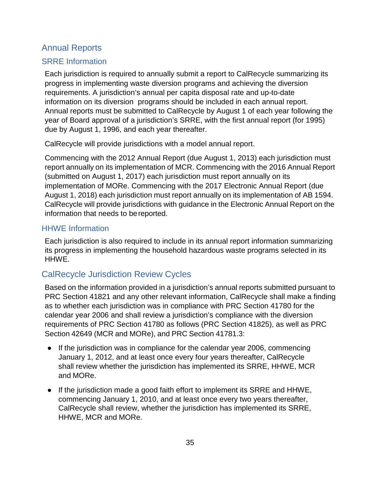### <span id="page-37-0"></span>Annual Reports

#### <span id="page-37-1"></span>SRRE Information

Each jurisdiction is required to annually submit a report to CalRecycle summarizing its progress in implementing waste diversion programs and achieving the diversion requirements. A jurisdiction's annual per capita disposal rate and up-to-date information on its diversion programs should be included in each annual report. Annual reports must be submitted to CalRecycle by August 1 of each year following the year of Board approval of a jurisdiction's SRRE, with the first annual report (for 1995) due by August 1, 1996, and each year thereafter.

CalRecycle will provide jurisdictions with a model annual report.

Commencing with the 2012 Annual Report (due August 1, 2013) each jurisdiction must report annually on its implementation of MCR. Commencing with the 2016 Annual Report (submitted on August 1, 2017) each jurisdiction must report annually on its implementation of MORe. Commencing with the 2017 Electronic Annual Report (due August 1, 2018) each jurisdiction must report annually on its implementation of AB 1594. CalRecycle will provide jurisdictions with guidance in the Electronic Annual Report on the information that needs to bereported.

#### <span id="page-37-2"></span>HHWE Information

Each jurisdiction is also required to include in its annual report information summarizing its progress in implementing the household hazardous waste programs selected in its HHWE.

### <span id="page-37-3"></span>CalRecycle Jurisdiction Review Cycles

Based on the information provided in a jurisdiction's annual reports submitted pursuant to PRC Section 41821 and any other relevant information, CalRecycle shall make a finding as to whether each jurisdiction was in compliance with PRC Section 41780 for the calendar year 2006 and shall review a jurisdiction's compliance with the diversion requirements of PRC Section 41780 as follows (PRC Section 41825), as well as PRC Section 42649 (MCR and MORe), and PRC Section 41781.3:

- If the jurisdiction was in compliance for the calendar year 2006, commencing January 1, 2012, and at least once every four years thereafter, CalRecycle shall review whether the jurisdiction has implemented its SRRE, HHWE, MCR and MORe.
- If the jurisdiction made a good faith effort to implement its SRRE and HHWE, commencing January 1, 2010, and at least once every two years thereafter, CalRecycle shall review, whether the jurisdiction has implemented its SRRE, HHWE, MCR and MORe.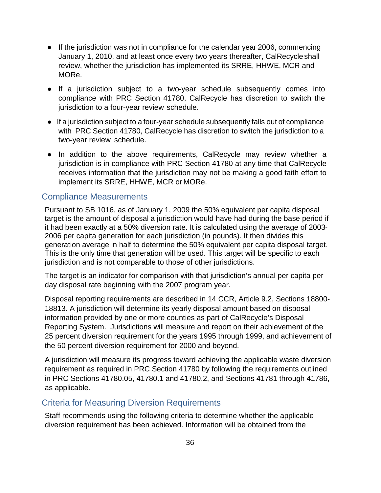- If the jurisdiction was not in compliance for the calendar year 2006, commencing January 1, 2010, and at least once every two years thereafter, CalRecycleshall review, whether the jurisdiction has implemented its SRRE, HHWE, MCR and MORe.
- If a jurisdiction subject to a two-year schedule subsequently comes into compliance with PRC Section 41780, CalRecycle has discretion to switch the jurisdiction to a four-year review schedule.
- If a jurisdiction subject to a four-year schedule subsequently falls out of compliance with PRC Section 41780, CalRecycle has discretion to switch the jurisdiction to a two-year review schedule.
- In addition to the above requirements, CalRecycle may review whether a jurisdiction is in compliance with PRC Section 41780 at any time that CalRecycle receives information that the jurisdiction may not be making a good faith effort to implement its SRRE, HHWE, MCR or MORe.

#### <span id="page-38-0"></span>Compliance Measurements

Pursuant to SB 1016, as of January 1, 2009 the 50% equivalent per capita disposal target is the amount of disposal a jurisdiction would have had during the base period if it had been exactly at a 50% diversion rate. It is calculated using the average of 2003‐ 2006 per capita generation for each jurisdiction (in pounds). It then divides this generation average in half to determine the 50% equivalent per capita disposal target. This is the only time that generation will be used. This target will be specific to each jurisdiction and is not comparable to those of other jurisdictions.

The target is an indicator for comparison with that jurisdiction's annual per capita per day disposal rate beginning with the 2007 program year.

Disposal reporting requirements are described in 14 CCR, Article 9.2, Sections 18800- 18813. A jurisdiction will determine its yearly disposal amount based on disposal information provided by one or more counties as part of CalRecycle's Disposal Reporting System. Jurisdictions will measure and report on their achievement of the 25 percent diversion requirement for the years 1995 through 1999, and achievement of the 50 percent diversion requirement for 2000 and beyond.

A jurisdiction will measure its progress toward achieving the applicable waste diversion requirement as required in PRC Section 41780 by following the requirements outlined in PRC Sections 41780.05, 41780.1 and 41780.2, and Sections 41781 through 41786, as applicable.

#### <span id="page-38-1"></span>Criteria for Measuring Diversion Requirements

Staff recommends using the following criteria to determine whether the applicable diversion requirement has been achieved. Information will be obtained from the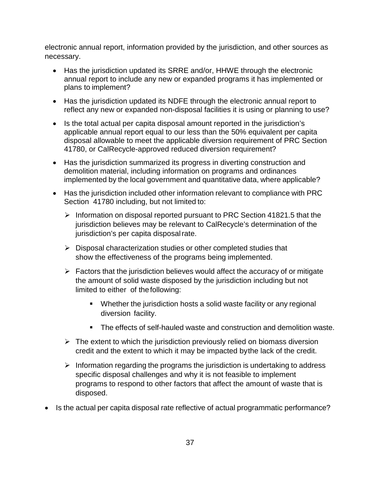electronic annual report, information provided by the jurisdiction, and other sources as necessary.

- Has the jurisdiction updated its SRRE and/or, HHWE through the electronic annual report to include any new or expanded programs it has implemented or plans to implement?
- Has the jurisdiction updated its NDFE through the electronic annual report to reflect any new or expanded non-disposal facilities it is using or planning to use?
- Is the total actual per capita disposal amount reported in the jurisdiction's applicable annual report equal to our less than the 50% equivalent per capita disposal allowable to meet the applicable diversion requirement of PRC Section 41780, or CalRecycle-approved reduced diversion requirement?
- Has the jurisdiction summarized its progress in diverting construction and demolition material, including information on programs and ordinances implemented by the local government and quantitative data, where applicable?
- Has the jurisdiction included other information relevant to compliance with PRC Section 41780 including, but not limited to:
	- $\triangleright$  Information on disposal reported pursuant to PRC Section 41821.5 that the jurisdiction believes may be relevant to CalRecycle's determination of the jurisdiction's per capita disposalrate.
	- $\triangleright$  Disposal characterization studies or other completed studies that show the effectiveness of the programs being implemented.
	- $\triangleright$  Factors that the jurisdiction believes would affect the accuracy of or mitigate the amount of solid waste disposed by the jurisdiction including but not limited to either of thefollowing:
		- Whether the jurisdiction hosts a solid waste facility or any regional diversion facility.
		- The effects of self-hauled waste and construction and demolition waste.
	- $\triangleright$  The extent to which the jurisdiction previously relied on biomass diversion credit and the extent to which it may be impacted bythe lack of the credit.
	- $\triangleright$  Information regarding the programs the jurisdiction is undertaking to address specific disposal challenges and why it is not feasible to implement programs to respond to other factors that affect the amount of waste that is disposed.
- Is the actual per capita disposal rate reflective of actual programmatic performance?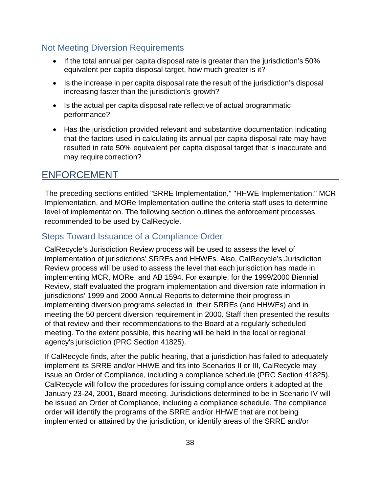#### <span id="page-40-0"></span>Not Meeting Diversion Requirements

- If the total annual per capita disposal rate is greater than the jurisdiction's 50% equivalent per capita disposal target, how much greater is it?
- Is the increase in per capita disposal rate the result of the jurisdiction's disposal increasing faster than the jurisdiction's growth?
- Is the actual per capita disposal rate reflective of actual programmatic performance?
- Has the jurisdiction provided relevant and substantive documentation indicating that the factors used in calculating its annual per capita disposal rate may have resulted in rate 50% equivalent per capita disposal target that is inaccurate and may require correction?

# <span id="page-40-1"></span>ENFORCEMENT

The preceding sections entitled "SRRE Implementation," "HHWE Implementation," MCR Implementation, and MORe Implementation outline the criteria staff uses to determine level of implementation. The following section outlines the enforcement processes recommended to be used by CalRecycle.

#### <span id="page-40-2"></span>Steps Toward Issuance of a Compliance Order

CalRecycle's Jurisdiction Review process will be used to assess the level of implementation of jurisdictions' SRREs and HHWEs. Also, CalRecycle's Jurisdiction Review process will be used to assess the level that each jurisdiction has made in implementing MCR, MORe, and AB 1594. For example, for the 1999/2000 Biennial Review, staff evaluated the program implementation and diversion rate information in jurisdictions' 1999 and 2000 Annual Reports to determine their progress in implementing diversion programs selected in their SRREs (and HHWEs) and in meeting the 50 percent diversion requirement in 2000. Staff then presented the results of that review and their recommendations to the Board at a regularly scheduled meeting. To the extent possible, this hearing will be held in the local or regional agency's jurisdiction (PRC Section 41825).

If CalRecycle finds, after the public hearing, that a jurisdiction has failed to adequately implement its SRRE and/or HHWE and fits into Scenarios II or III, CalRecycle may issue an Order of Compliance, including a compliance schedule (PRC Section 41825). CalRecycle will follow the procedures for issuing compliance orders it adopted at the January 23-24, 2001, Board meeting. Jurisdictions determined to be in Scenario IV will be issued an Order of Compliance, including a compliance schedule. The compliance order will identify the programs of the SRRE and/or HHWE that are not being implemented or attained by the jurisdiction, or identify areas of the SRRE and/or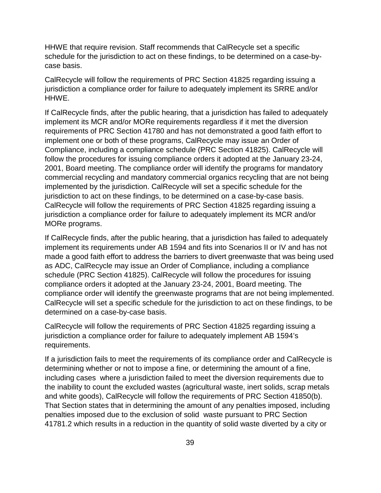HHWE that require revision. Staff recommends that CalRecycle set a specific schedule for the jurisdiction to act on these findings, to be determined on a case-bycase basis.

CalRecycle will follow the requirements of PRC Section 41825 regarding issuing a jurisdiction a compliance order for failure to adequately implement its SRRE and/or HHWE.

If CalRecycle finds, after the public hearing, that a jurisdiction has failed to adequately implement its MCR and/or MORe requirements regardless if it met the diversion requirements of PRC Section 41780 and has not demonstrated a good faith effort to implement one or both of these programs, CalRecycle may issue an Order of Compliance, including a compliance schedule (PRC Section 41825). CalRecycle will follow the procedures for issuing compliance orders it adopted at the January 23-24, 2001, Board meeting. The compliance order will identify the programs for mandatory commercial recycling and mandatory commercial organics recycling that are not being implemented by the jurisdiction. CalRecycle will set a specific schedule for the jurisdiction to act on these findings, to be determined on a case-by-case basis. CalRecycle will follow the requirements of PRC Section 41825 regarding issuing a jurisdiction a compliance order for failure to adequately implement its MCR and/or MORe programs.

If CalRecycle finds, after the public hearing, that a jurisdiction has failed to adequately implement its requirements under AB 1594 and fits into Scenarios II or IV and has not made a good faith effort to address the barriers to divert greenwaste that was being used as ADC, CalRecycle may issue an Order of Compliance, including a compliance schedule (PRC Section 41825). CalRecycle will follow the procedures for issuing compliance orders it adopted at the January 23-24, 2001, Board meeting. The compliance order will identify the greenwaste programs that are not being implemented. CalRecycle will set a specific schedule for the jurisdiction to act on these findings, to be determined on a case-by-case basis.

CalRecycle will follow the requirements of PRC Section 41825 regarding issuing a jurisdiction a compliance order for failure to adequately implement AB 1594's requirements.

If a jurisdiction fails to meet the requirements of its compliance order and CalRecycle is determining whether or not to impose a fine, or determining the amount of a fine, including cases where a jurisdiction failed to meet the diversion requirements due to the inability to count the excluded wastes (agricultural waste, inert solids, scrap metals and white goods), CalRecycle will follow the requirements of PRC Section 41850(b). That Section states that in determining the amount of any penalties imposed, including penalties imposed due to the exclusion of solid waste pursuant to PRC Section 41781.2 which results in a reduction in the quantity of solid waste diverted by a city or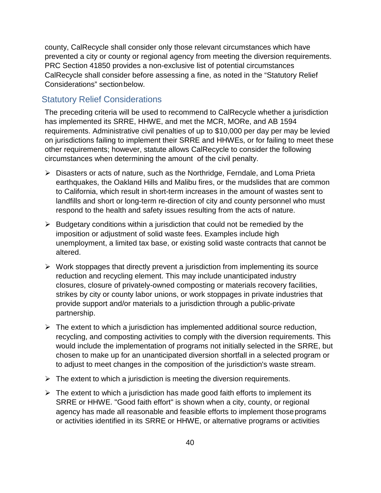county, CalRecycle shall consider only those relevant circumstances which have prevented a city or county or regional agency from meeting the diversion requirements. PRC Section 41850 provides a non-exclusive list of potential circumstances CalRecycle shall consider before assessing a fine, as noted in the "Statutory Relief Considerations" sectionbelow.

### <span id="page-42-0"></span>Statutory Relief Considerations

The preceding criteria will be used to recommend to CalRecycle whether a jurisdiction has implemented its SRRE, HHWE, and met the MCR, MORe, and AB 1594 requirements. Administrative civil penalties of up to \$10,000 per day per may be levied on jurisdictions failing to implement their SRRE and HHWEs, or for failing to meet these other requirements; however, statute allows CalRecycle to consider the following circumstances when determining the amount of the civil penalty.

- Disasters or acts of nature, such as the Northridge, Ferndale, and Loma Prieta earthquakes, the Oakland Hills and Malibu fires, or the mudslides that are common to California, which result in short-term increases in the amount of wastes sent to landfills and short or long-term re-direction of city and county personnel who must respond to the health and safety issues resulting from the acts of nature.
- $\triangleright$  Budgetary conditions within a jurisdiction that could not be remedied by the imposition or adjustment of solid waste fees. Examples include high unemployment, a limited tax base, or existing solid waste contracts that cannot be altered.
- $\triangleright$  Work stoppages that directly prevent a jurisdiction from implementing its source reduction and recycling element. This may include unanticipated industry closures, closure of privately-owned composting or materials recovery facilities, strikes by city or county labor unions, or work stoppages in private industries that provide support and/or materials to a jurisdiction through a public-private partnership.
- $\triangleright$  The extent to which a jurisdiction has implemented additional source reduction, recycling, and composting activities to comply with the diversion requirements. This would include the implementation of programs not initially selected in the SRRE, but chosen to make up for an unanticipated diversion shortfall in a selected program or to adjust to meet changes in the composition of the jurisdiction's waste stream.
- $\triangleright$  The extent to which a jurisdiction is meeting the diversion requirements.
- $\triangleright$  The extent to which a jurisdiction has made good faith efforts to implement its SRRE or HHWE. "Good faith effort" is shown when a city, county, or regional agency has made all reasonable and feasible efforts to implement thoseprograms or activities identified in its SRRE or HHWE, or alternative programs or activities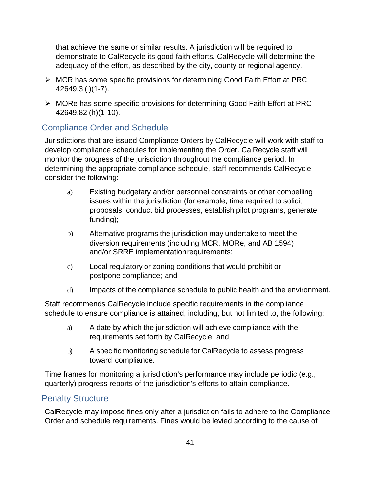that achieve the same or similar results. A jurisdiction will be required to demonstrate to CalRecycle its good faith efforts. CalRecycle will determine the adequacy of the effort, as described by the city, county or regional agency.

- $\triangleright$  MCR has some specific provisions for determining Good Faith Effort at PRC 42649.3 (i)(1-7).
- MORe has some specific provisions for determining Good Faith Effort at PRC 42649.82 (h)(1-10).

# <span id="page-43-0"></span>Compliance Order and Schedule

Jurisdictions that are issued Compliance Orders by CalRecycle will work with staff to develop compliance schedules for implementing the Order. CalRecycle staff will monitor the progress of the jurisdiction throughout the compliance period. In determining the appropriate compliance schedule, staff recommends CalRecycle consider the following:

- a) Existing budgetary and/or personnel constraints or other compelling issues within the jurisdiction (for example, time required to solicit proposals, conduct bid processes, establish pilot programs, generate funding);
- b) Alternative programs the jurisdiction may undertake to meet the diversion requirements (including MCR, MORe, and AB 1594) and/or SRRE implementationrequirements;
- c) Local regulatory or zoning conditions that would prohibit or postpone compliance; and
- d) Impacts of the compliance schedule to public health and the environment.

Staff recommends CalRecycle include specific requirements in the compliance schedule to ensure compliance is attained, including, but not limited to, the following:

- a) A date by which the jurisdiction will achieve compliance with the requirements set forth by CalRecycle; and
- b) A specific monitoring schedule for CalRecycle to assess progress toward compliance.

Time frames for monitoring a jurisdiction's performance may include periodic (e.g., quarterly) progress reports of the jurisdiction's efforts to attain compliance.

### <span id="page-43-1"></span>Penalty Structure

CalRecycle may impose fines only after a jurisdiction fails to adhere to the Compliance Order and schedule requirements. Fines would be levied according to the cause of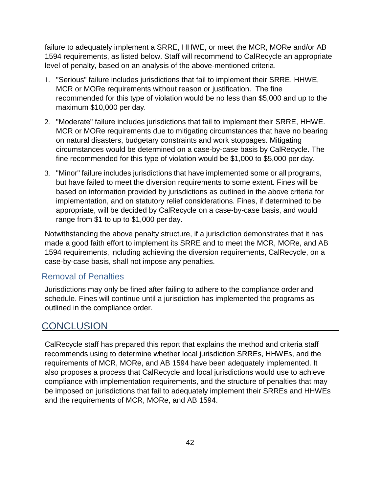failure to adequately implement a SRRE, HHWE, or meet the MCR, MORe and/or AB 1594 requirements, as listed below. Staff will recommend to CalRecycle an appropriate level of penalty, based on an analysis of the above-mentioned criteria.

- 1. "Serious" failure includes jurisdictions that fail to implement their SRRE, HHWE, MCR or MORe requirements without reason or justification. The fine recommended for this type of violation would be no less than \$5,000 and up to the maximum \$10,000 per day.
- 2. "Moderate" failure includes jurisdictions that fail to implement their SRRE, HHWE. MCR or MORe requirements due to mitigating circumstances that have no bearing on natural disasters, budgetary constraints and work stoppages. Mitigating circumstances would be determined on a case-by-case basis by CalRecycle. The fine recommended for this type of violation would be \$1,000 to \$5,000 per day.
- 3. "Minor" failure includes jurisdictions that have implemented some or all programs, but have failed to meet the diversion requirements to some extent. Fines will be based on information provided by jurisdictions as outlined in the above criteria for implementation, and on statutory relief considerations. Fines, if determined to be appropriate, will be decided by CalRecycle on a case-by-case basis, and would range from \$1 to up to \$1,000 per day.

Notwithstanding the above penalty structure, if a jurisdiction demonstrates that it has made a good faith effort to implement its SRRE and to meet the MCR, MORe, and AB 1594 requirements, including achieving the diversion requirements, CalRecycle, on a case-by-case basis, shall not impose any penalties.

### <span id="page-44-0"></span>Removal of Penalties

Jurisdictions may only be fined after failing to adhere to the compliance order and schedule. Fines will continue until a jurisdiction has implemented the programs as outlined in the compliance order.

# <span id="page-44-1"></span>**CONCLUSION**

CalRecycle staff has prepared this report that explains the method and criteria staff recommends using to determine whether local jurisdiction SRREs, HHWEs, and the requirements of MCR, MORe, and AB 1594 have been adequately implemented. It also proposes a process that CalRecycle and local jurisdictions would use to achieve compliance with implementation requirements, and the structure of penalties that may be imposed on jurisdictions that fail to adequately implement their SRREs and HHWEs and the requirements of MCR, MORe, and AB 1594.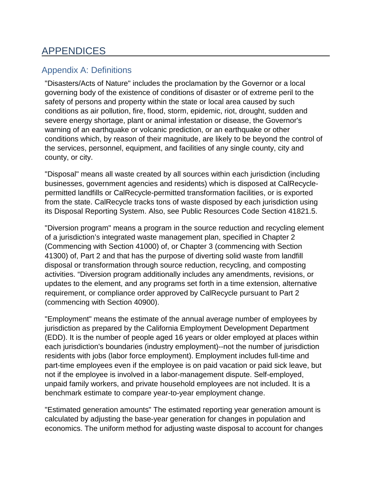# <span id="page-45-0"></span>APPENDICES

# <span id="page-45-1"></span>Appendix A: Definitions

"Disasters/Acts of Nature" includes the proclamation by the Governor or a local governing body of the existence of conditions of disaster or of extreme peril to the safety of persons and property within the state or local area caused by such conditions as air pollution, fire, flood, storm, epidemic, riot, drought, sudden and severe energy shortage, plant or animal infestation or disease, the Governor's warning of an earthquake or volcanic prediction, or an earthquake or other conditions which, by reason of their magnitude, are likely to be beyond the control of the services, personnel, equipment, and facilities of any single county, city and county, or city.

"Disposal" means all waste created by all sources within each jurisdiction (including businesses, government agencies and residents) which is disposed at CalRecyclepermitted landfills or CalRecycle-permitted transformation facilities, or is exported from the state. CalRecycle tracks tons of waste disposed by each jurisdiction using its [Disposal Reporting System.](http://www.ciwmb.ca.gov/LGCentral/Reports/DRS/Default.aspx) Also, see Public Resources Code [Section 41821.5.](http://www.leginfo.ca.gov/cgi-bin/displaycode?section=prc&amp%3Bgroup=41001-42000&amp%3Bfile=41820.5-41822)

"Diversion program" means a program in the source reduction and recycling element of a jurisdiction's integrated waste management plan, specified in Chapter 2 (Commencing with Section 41000) of, or Chapter 3 (commencing with Section 41300) of, Part 2 and that has the purpose of diverting solid waste from landfill disposal or transformation through source reduction, recycling, and composting activities. "Diversion program additionally includes any amendments, revisions, or updates to the element, and any programs set forth in a time extension, alternative requirement, or compliance order approved by CalRecycle pursuant to Part 2 (commencing with Section 40900).

"Employment" means the estimate of the annual average number of employees by jurisdiction as prepared by the California Employment Development Department (EDD). It is the number of people aged 16 years or older employed at places within each jurisdiction's boundaries (industry employment)--not the number of jurisdiction residents with jobs (labor force employment). Employment includes full-time and part-time employees even if the employee is on paid vacation or paid sick leave, but not if the employee is involved in a labor-management dispute. Self-employed, unpaid family workers, and private household employees are not included. It is a benchmark estimate to compare year-to-year employment change.

"Estimated generation amounts" The estimated reporting year generation amount is calculated by adjusting the base-year generation for changes in population and economics. The uniform method for adjusting waste disposal to account for changes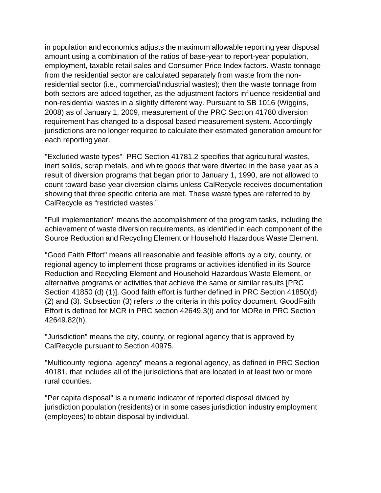in population and economics adjusts the maximum allowable reporting year disposal amount using a combination of the ratios of base-year to report-year population, employment, taxable retail sales and Consumer Price Index factors. Waste tonnage from the residential sector are calculated separately from waste from the nonresidential sector (i.e., commercial/industrial wastes); then the waste tonnage from both sectors are added together, as the adjustment factors influence residential and non-residential wastes in a slightly different way. Pursuant to SB 1016 (Wiggins, 2008) as of January 1, 2009, measurement of the PRC Section 41780 diversion requirement has changed to a disposal based measurement system. Accordingly jurisdictions are no longer required to calculate their estimated generation amount for each reporting year.

"Excluded waste types" PRC Section 41781.2 specifies that agricultural wastes, inert solids, scrap metals, and white goods that were diverted in the base year as a result of diversion programs that began prior to January 1, 1990, are not allowed to count toward base-year diversion claims unless CalRecycle receives documentation showing that three specific criteria are met. These waste types are referred to by CalRecycle as "restricted wastes."

"Full implementation" means the accomplishment of the program tasks, including the achievement of waste diversion requirements, as identified in each component of the Source Reduction and Recycling Element or Household Hazardous Waste Element.

"Good Faith Effort" means all reasonable and feasible efforts by a city, county, or regional agency to implement those programs or activities identified in its Source Reduction and Recycling Element and Household Hazardous Waste Element, or alternative programs or activities that achieve the same or similar results [PRC Section 41850 (d) (1)]. Good faith effort is further defined in PRC Section 41850(d) (2) and (3). Subsection (3) refers to the criteria in this policy document. GoodFaith Effort is defined for MCR in PRC section 42649.3(i) and for MORe in PRC Section 42649.82(h).

"Jurisdiction" means the city, county, or regional agency that is approved by CalRecycle pursuant to Section 40975.

"Multicounty regional agency" means a regional agency, as defined in PRC Section 40181, that includes all of the jurisdictions that are located in at least two or more rural counties.

"Per capita disposal" is a numeric indicator of reported disposal divided by jurisdiction population (residents) or in some cases jurisdiction industry employment (employees) to obtain disposal by individual.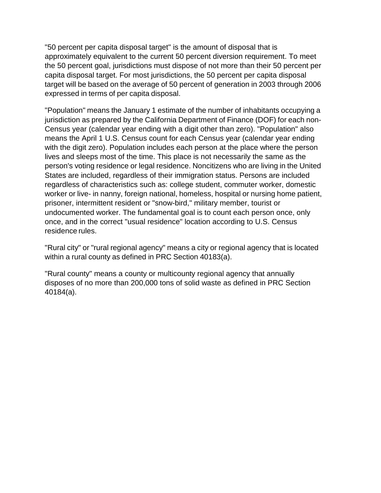"50 percent per capita disposal target" is the amount of disposal that is approximately equivalent to the current 50 percent diversion requirement. To meet the 50 percent goal, jurisdictions must dispose of not more than their 50 percent per capita disposal target. For most jurisdictions, the 50 percent per capita disposal target will be based on the average of 50 percent of generation in 2003 through 2006 expressed in terms of per capita disposal.

"Population" means the January 1 estimate of the number of inhabitants occupying a jurisdiction as prepared by the California Department of Finance (DOF) for each non-Census year (calendar year ending with a digit other than zero). "Population" also means the April 1 U.S. Census count for each Census year (calendar year ending with the digit zero). Population includes each person at the place where the person lives and sleeps most of the time. This place is not necessarily the same as the person's voting residence or legal residence. Noncitizens who are living in the United States are included, regardless of their immigration status. Persons are included regardless of characteristics such as: college student, commuter worker, domestic worker or live- in nanny, foreign national, homeless, hospital or nursing home patient, prisoner, intermittent resident or "snow-bird," military member, tourist or undocumented worker. The fundamental goal is to count each person once, only once, and in the correct "usual residence" location according to U.S. Census residence rules.

"Rural city" or "rural regional agency" means a city or regional agency that is located within a rural county as defined in PRC Section 40183(a).

"Rural county" means a county or multicounty regional agency that annually disposes of no more than 200,000 tons of solid waste as defined in PRC Section 40184(a).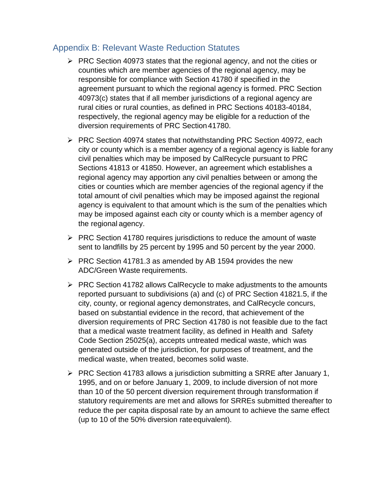# <span id="page-48-0"></span>Appendix B: Relevant Waste Reduction Statutes

- $\triangleright$  PRC Section 40973 states that the regional agency, and not the cities or counties which are member agencies of the regional agency, may be responsible for compliance with Section 41780 if specified in the agreement pursuant to which the regional agency is formed. PRC Section 40973(c) states that if all member jurisdictions of a regional agency are rural cities or rural counties, as defined in PRC Sections 40183-40184, respectively, the regional agency may be eligible for a reduction of the diversion requirements of PRC Section41780.
- $\triangleright$  PRC Section 40974 states that notwithstanding PRC Section 40972, each city or county which is a member agency of a regional agency is liable forany civil penalties which may be imposed by CalRecycle pursuant to PRC Sections 41813 or 41850. However, an agreement which establishes a regional agency may apportion any civil penalties between or among the cities or counties which are member agencies of the regional agency if the total amount of civil penalties which may be imposed against the regional agency is equivalent to that amount which is the sum of the penalties which may be imposed against each city or county which is a member agency of the regional agency.
- $\triangleright$  PRC Section 41780 requires jurisdictions to reduce the amount of waste sent to landfills by 25 percent by 1995 and 50 percent by the year 2000.
- $\triangleright$  PRC Section 41781.3 as amended by AB 1594 provides the new ADC/Green Waste requirements.
- $\triangleright$  PRC Section 41782 allows CalRecycle to make adjustments to the amounts reported pursuant to subdivisions (a) and (c) of PRC Section 41821.5, if the city, county, or regional agency demonstrates, and CalRecycle concurs, based on substantial evidence in the record, that achievement of the diversion requirements of PRC Section 41780 is not feasible due to the fact that a medical waste treatment facility, as defined in Health and Safety Code Section 25025(a), accepts untreated medical waste, which was generated outside of the jurisdiction, for purposes of treatment, and the medical waste, when treated, becomes solid waste.
- $\triangleright$  PRC Section 41783 allows a jurisdiction submitting a SRRE after January 1, 1995, and on or before January 1, 2009, to include diversion of not more than 10 of the 50 percent diversion requirement through transformation if statutory requirements are met and allows for SRREs submitted thereafter to reduce the per capita disposal rate by an amount to achieve the same effect (up to 10 of the 50% diversion rateequivalent).